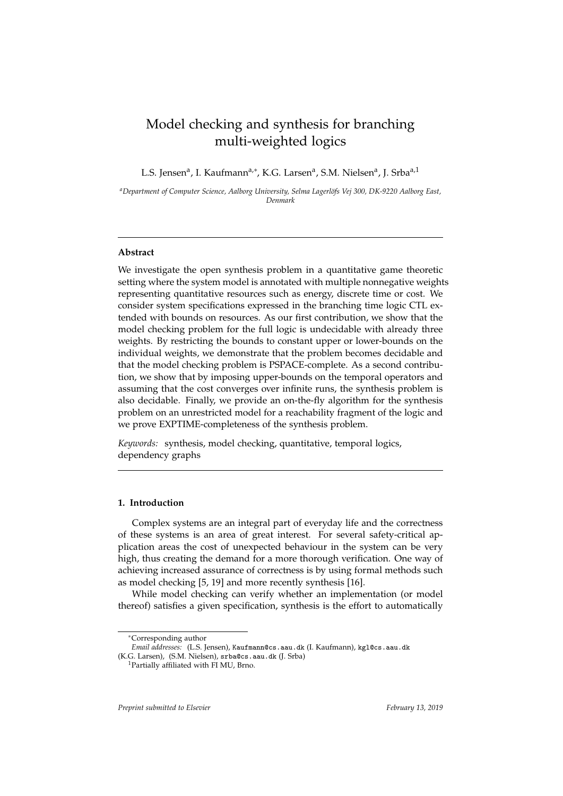# Model checking and synthesis for branching multi-weighted logics

L.S. Jensen<sup>a</sup>, I. Kaufmann<sup>a,∗</sup>, K.G. Larsen<sup>a</sup>, S.M. Nielsen<sup>a</sup>, J. Srba<sup>a,1</sup>

*<sup>a</sup>Department of Computer Science, Aalborg University, Selma Lagerlöfs Vej 300, DK-9220 Aalborg East, Denmark*

# **Abstract**

We investigate the open synthesis problem in a quantitative game theoretic setting where the system model is annotated with multiple nonnegative weights representing quantitative resources such as energy, discrete time or cost. We consider system specifications expressed in the branching time logic CTL extended with bounds on resources. As our first contribution, we show that the model checking problem for the full logic is undecidable with already three weights. By restricting the bounds to constant upper or lower-bounds on the individual weights, we demonstrate that the problem becomes decidable and that the model checking problem is PSPACE-complete. As a second contribution, we show that by imposing upper-bounds on the temporal operators and assuming that the cost converges over infinite runs, the synthesis problem is also decidable. Finally, we provide an on-the-fly algorithm for the synthesis problem on an unrestricted model for a reachability fragment of the logic and we prove EXPTIME-completeness of the synthesis problem.

*Keywords:* synthesis, model checking, quantitative, temporal logics, dependency graphs

# **1. Introduction**

Complex systems are an integral part of everyday life and the correctness of these systems is an area of great interest. For several safety-critical application areas the cost of unexpected behaviour in the system can be very high, thus creating the demand for a more thorough verification. One way of achieving increased assurance of correctness is by using formal methods such as model checking [5, 19] and more recently synthesis [16].

While model checking can verify whether an implementation (or model thereof) satisfies a given specification, synthesis is the effort to automatically

<sup>∗</sup>Corresponding author

*Email addresses:* (L.S. Jensen), Kaufmann@cs.aau.dk (I. Kaufmann), kgl@cs.aau.dk (K.G. Larsen), (S.M. Nielsen), srba@cs.aau.dk (J. Srba)

<sup>1</sup>Partially affiliated with FI MU, Brno.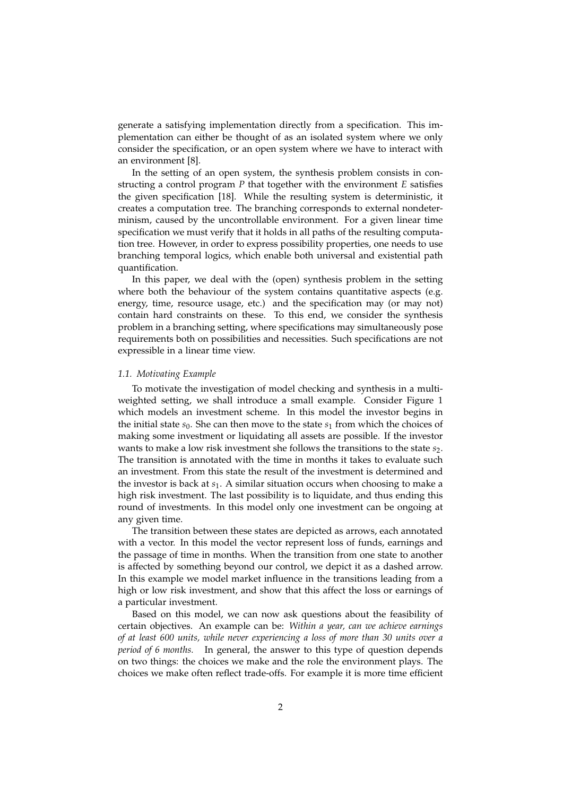generate a satisfying implementation directly from a specification. This implementation can either be thought of as an isolated system where we only consider the specification, or an open system where we have to interact with an environment [8].

In the setting of an open system, the synthesis problem consists in constructing a control program *P* that together with the environment *E* satisfies the given specification [18]. While the resulting system is deterministic, it creates a computation tree. The branching corresponds to external nondeterminism, caused by the uncontrollable environment. For a given linear time specification we must verify that it holds in all paths of the resulting computation tree. However, in order to express possibility properties, one needs to use branching temporal logics, which enable both universal and existential path quantification.

In this paper, we deal with the (open) synthesis problem in the setting where both the behaviour of the system contains quantitative aspects (e.g. energy, time, resource usage, etc.) and the specification may (or may not) contain hard constraints on these. To this end, we consider the synthesis problem in a branching setting, where specifications may simultaneously pose requirements both on possibilities and necessities. Such specifications are not expressible in a linear time view.

# *1.1. Motivating Example*

To motivate the investigation of model checking and synthesis in a multiweighted setting, we shall introduce a small example. Consider Figure 1 which models an investment scheme. In this model the investor begins in the initial state  $s_0$ . She can then move to the state  $s_1$  from which the choices of making some investment or liquidating all assets are possible. If the investor wants to make a low risk investment she follows the transitions to the state  $s_2$ . The transition is annotated with the time in months it takes to evaluate such an investment. From this state the result of the investment is determined and the investor is back at *s*1. A similar situation occurs when choosing to make a high risk investment. The last possibility is to liquidate, and thus ending this round of investments. In this model only one investment can be ongoing at any given time.

The transition between these states are depicted as arrows, each annotated with a vector. In this model the vector represent loss of funds, earnings and the passage of time in months. When the transition from one state to another is affected by something beyond our control, we depict it as a dashed arrow. In this example we model market influence in the transitions leading from a high or low risk investment, and show that this affect the loss or earnings of a particular investment.

Based on this model, we can now ask questions about the feasibility of certain objectives. An example can be: *Within a year, can we achieve earnings of at least 600 units, while never experiencing a loss of more than 30 units over a period of 6 months.* In general, the answer to this type of question depends on two things: the choices we make and the role the environment plays. The choices we make often reflect trade-offs. For example it is more time efficient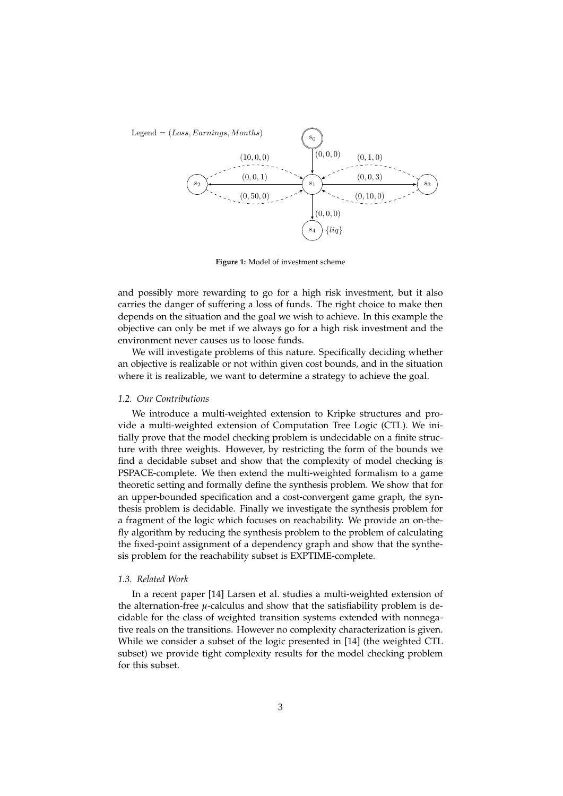

**Figure 1:** Model of investment scheme

and possibly more rewarding to go for a high risk investment, but it also carries the danger of suffering a loss of funds. The right choice to make then depends on the situation and the goal we wish to achieve. In this example the objective can only be met if we always go for a high risk investment and the environment never causes us to loose funds.

We will investigate problems of this nature. Specifically deciding whether an objective is realizable or not within given cost bounds, and in the situation where it is realizable, we want to determine a strategy to achieve the goal.

# *1.2. Our Contributions*

We introduce a multi-weighted extension to Kripke structures and provide a multi-weighted extension of Computation Tree Logic (CTL). We initially prove that the model checking problem is undecidable on a finite structure with three weights. However, by restricting the form of the bounds we find a decidable subset and show that the complexity of model checking is PSPACE-complete. We then extend the multi-weighted formalism to a game theoretic setting and formally define the synthesis problem. We show that for an upper-bounded specification and a cost-convergent game graph, the synthesis problem is decidable. Finally we investigate the synthesis problem for a fragment of the logic which focuses on reachability. We provide an on-thefly algorithm by reducing the synthesis problem to the problem of calculating the fixed-point assignment of a dependency graph and show that the synthesis problem for the reachability subset is EXPTIME-complete.

#### *1.3. Related Work*

In a recent paper [14] Larsen et al. studies a multi-weighted extension of the alternation-free  $\mu$ -calculus and show that the satisfiability problem is decidable for the class of weighted transition systems extended with nonnegative reals on the transitions. However no complexity characterization is given. While we consider a subset of the logic presented in [14] (the weighted CTL subset) we provide tight complexity results for the model checking problem for this subset.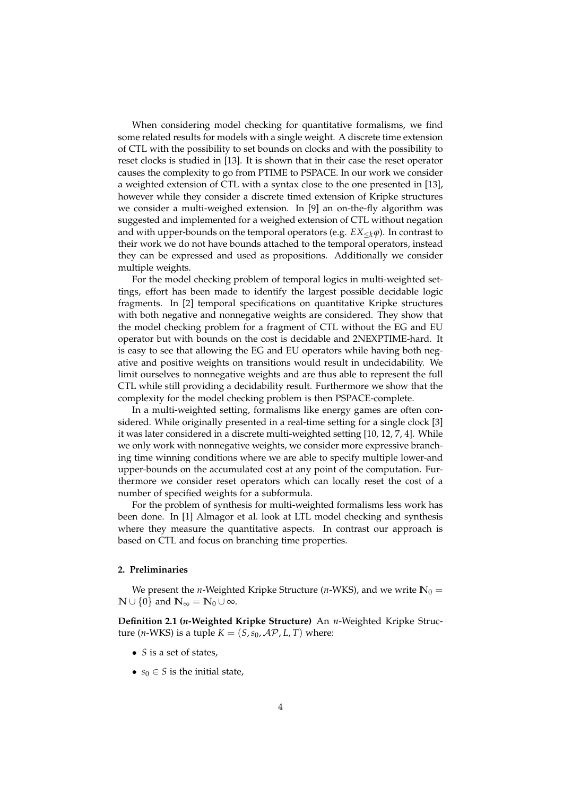When considering model checking for quantitative formalisms, we find some related results for models with a single weight. A discrete time extension of CTL with the possibility to set bounds on clocks and with the possibility to reset clocks is studied in [13]. It is shown that in their case the reset operator causes the complexity to go from PTIME to PSPACE. In our work we consider a weighted extension of CTL with a syntax close to the one presented in [13], however while they consider a discrete timed extension of Kripke structures we consider a multi-weighed extension. In [9] an on-the-fly algorithm was suggested and implemented for a weighed extension of CTL without negation and with upper-bounds on the temporal operators (e.g. *EX*≤*kϕ*). In contrast to their work we do not have bounds attached to the temporal operators, instead they can be expressed and used as propositions. Additionally we consider multiple weights.

For the model checking problem of temporal logics in multi-weighted settings, effort has been made to identify the largest possible decidable logic fragments. In [2] temporal specifications on quantitative Kripke structures with both negative and nonnegative weights are considered. They show that the model checking problem for a fragment of CTL without the EG and EU operator but with bounds on the cost is decidable and 2NEXPTIME-hard. It is easy to see that allowing the EG and EU operators while having both negative and positive weights on transitions would result in undecidability. We limit ourselves to nonnegative weights and are thus able to represent the full CTL while still providing a decidability result. Furthermore we show that the complexity for the model checking problem is then PSPACE-complete.

In a multi-weighted setting, formalisms like energy games are often considered. While originally presented in a real-time setting for a single clock [3] it was later considered in a discrete multi-weighted setting [10, 12, 7, 4]. While we only work with nonnegative weights, we consider more expressive branching time winning conditions where we are able to specify multiple lower-and upper-bounds on the accumulated cost at any point of the computation. Furthermore we consider reset operators which can locally reset the cost of a number of specified weights for a subformula.

For the problem of synthesis for multi-weighted formalisms less work has been done. In [1] Almagor et al. look at LTL model checking and synthesis where they measure the quantitative aspects. In contrast our approach is based on CTL and focus on branching time properties.

# **2. Preliminaries**

We present the *n*-Weighted Kripke Structure (*n*-WKS), and we write  $N_0 =$  $\mathbb{N} \cup \{0\}$  and  $\mathbb{N}_{\infty} = \mathbb{N}_0 \cup \infty$ .

**Definition 2.1 (***n***-Weighted Kripke Structure)** An *n*-Weighted Kripke Structure (*n*-WKS) is a tuple  $K = (S, s_0, \mathcal{AP}, L, T)$  where:

- *S* is a set of states,
- $s_0 \in S$  is the initial state,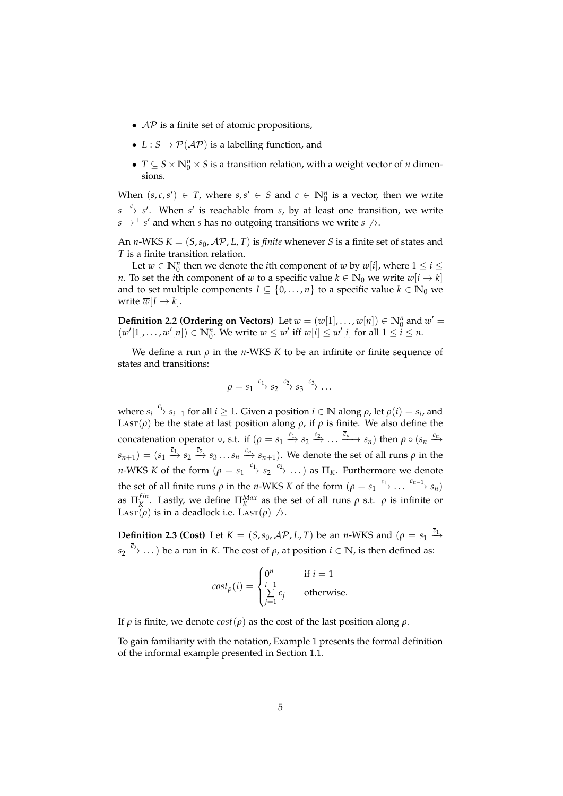- $AP$  is a finite set of atomic propositions,
- $L: S \rightarrow \mathcal{P}(\mathcal{AP})$  is a labelling function, and
- $T \subseteq S \times \mathbb{N}_0^n \times S$  is a transition relation, with a weight vector of *n* dimensions.

When  $(s,\bar{c},s') \in T$ , where  $s,s' \in S$  and  $\bar{c} \in \mathbb{N}_0^n$  is a vector, then we write  $s \stackrel{\overline{c}}{\rightarrow} s'$ . When *s*' is reachable from *s*, by at least one transition, we write  $s \rightarrow^+ s'$  and when *s* has no outgoing transitions we write  $s \not\rightarrow$ .

An *n*-WKS *K* = (*S*,*s*0, AP, *L*, *T*) is *finite* whenever *S* is a finite set of states and *T* is a finite transition relation.

Let  $\overline{w} \in \mathbb{N}_0^n$  then we denote the *i*th component of  $\overline{w}$  by  $\overline{w}[i]$ , where  $1 \leq i \leq n$ *n*. To set the *i*th component of  $\overline{w}$  to a specific value  $k \in \mathbb{N}_0$  we write  $\overline{w}[i \to k]$ and to set multiple components  $I \subseteq \{0, \ldots, n\}$  to a specific value  $k \in \mathbb{N}_0$  we write  $\overline{w}[I \rightarrow k]$ .

**Definition 2.2 (Ordering on Vectors)** Let  $\overline{w} = (\overline{w}[1], \ldots, \overline{w}[n]) \in \mathbb{N}_0^n$  and  $\overline{w}' = (w \cdot w \cdot \overline{w}[n])$  $(\overline{w}'[1], \ldots, \overline{w}'[n]) \in \mathbb{N}_0^n$ . We write  $\overline{w} \leq \overline{w}'$  iff  $\overline{w}[i] \leq \overline{w}'[i]$  for all  $1 \leq i \leq n$ .

We define a run  $\rho$  in the *n*-WKS K to be an infinite or finite sequence of states and transitions:

$$
\rho = s_1 \xrightarrow{\bar{c}_1} s_2 \xrightarrow{\bar{c}_2} s_3 \xrightarrow{\bar{c}_3} \dots
$$

where  $s_i \stackrel{\bar{c}_i}{\rightarrow} s_{i+1}$  for all  $i \geq 1$ . Given a position  $i \in \mathbb{N}$  along  $\rho$ , let  $\rho(i) = s_i$ , and Last( $\rho$ ) be the state at last position along  $\rho$ , if  $\rho$  is finite. We also define the concatenation operator  $\circ$ , s.t. if  $(\rho = s_1 \xrightarrow{\bar{c}_1} s_2 \xrightarrow{\bar{c}_2} \dots \xrightarrow{\bar{c}_{n-1}} s_n)$  then  $\rho \circ (s_n \xrightarrow{\bar{c}_n} s_n)$  $(s_{n+1}) = (s_1 \stackrel{\overline{c}_1}{\longrightarrow} s_2 \stackrel{\overline{c}_2}{\longrightarrow} s_3 \dots s_n \stackrel{\overline{c}_n}{\longrightarrow} s_{n+1})$ . We denote the set of all runs  $\rho$  in the *n*-WKS *K* of the form  $(\rho = s_1 \stackrel{\overline{c}_1}{\rightarrow} s_2 \stackrel{\overline{c}_2}{\rightarrow} \dots)$  as  $\Pi_K$ . Furthermore we denote the set of all finite runs  $\rho$  in the *n*-WKS *K* of the form  $(\rho = s_1 \xrightarrow{\overline{c}_1} \dots \xrightarrow{\overline{c}_{n-1}} s_n)$ as  $\Pi_{K}^{fin}$ *I<sup>tm</sup>*. Lastly, we define  $\Pi_K^{Max}$  as the set of all runs *ρ* s.t. *ρ* is infinite or Last $\widehat{(\rho)}$  is in a deadlock i.e. Last $(\rho) \nrightarrow$ .

**Definition 2.3 (Cost)** Let  $K = (S, s_0, \mathcal{AP}, L, T)$  be an *n*-WKS and  $(\rho = s_1 \stackrel{\overline{c}_1}{\rightarrow}$  $s_2 \stackrel{\overline{c}_2}{\rightarrow} \ldots$ ) be a run in *K*. The cost of  $\rho$ , at position  $i \in \mathbb{N}$ , is then defined as:

$$
cost_{\rho}(i) = \begin{cases} 0^n & \text{if } i = 1\\ \sum_{j=1}^{i-1} \overline{c}_j & \text{otherwise.} \end{cases}
$$

If *ρ* is finite, we denote *cost*(*ρ*) as the cost of the last position along *ρ*.

To gain familiarity with the notation, Example 1 presents the formal definition of the informal example presented in Section 1.1.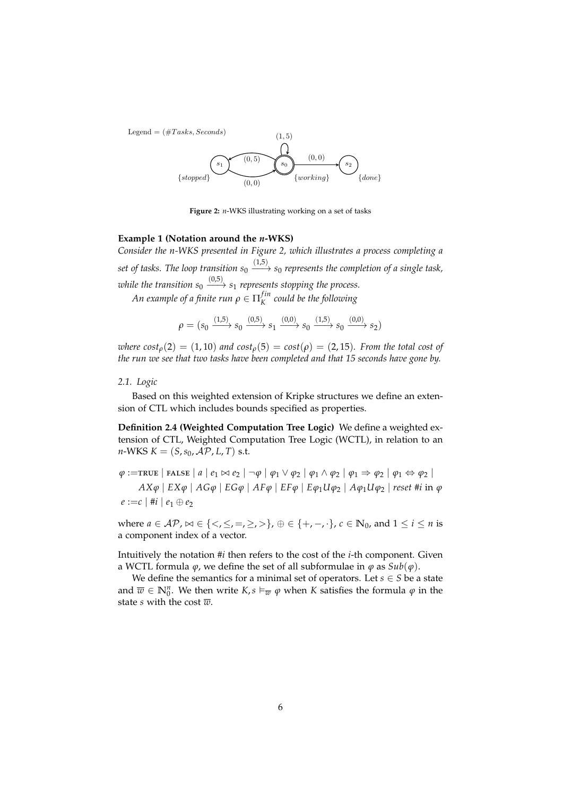Legend =  $(\#Tasks, seconds)$ 



**Figure 2:** *n*-WKS illustrating working on a set of tasks

#### **Example 1 (Notation around the** *n***-WKS)**

*Consider the n-WKS presented in Figure 2, which illustrates a process completing a* set of tasks. The loop transition  $s_0 \xrightarrow{(1,5)} s_0$  represents the completion of a single task, while the transition  $s_0 \xrightarrow{(0,5)} s_1$  represents stopping the process.

An example of a finite run  $\rho \in \Pi_K^{fin}$ *K could be the following*

$$
\rho = (s_0 \xrightarrow{(1,5)} s_0 \xrightarrow{(0,5)} s_1 \xrightarrow{(0,0)} s_0 \xrightarrow{(1,5)} s_0 \xrightarrow{(0,0)} s_2)
$$

*where cost<sub>0</sub>(2)* = (1,10) *and cost<sub>0</sub>(5)* = *cost(* $\rho$ *)* = (2,15)*. From the total cost of the run we see that two tasks have been completed and that 15 seconds have gone by.*

#### *2.1. Logic*

Based on this weighted extension of Kripke structures we define an extension of CTL which includes bounds specified as properties.

**Definition 2.4 (Weighted Computation Tree Logic)** We define a weighted extension of CTL, Weighted Computation Tree Logic (WCTL), in relation to an  $n$ -WKS  $K = (S, s_0, \mathcal{AP}, L, T)$  s.t.

$$
\varphi := \text{TRUE} \mid \text{FALSE} \mid a \mid e_1 \bowtie e_2 \mid \neg \varphi \mid \varphi_1 \lor \varphi_2 \mid \varphi_1 \land \varphi_2 \mid \varphi_1 \Rightarrow \varphi_2 \mid \varphi_1 \Leftrightarrow \varphi_2 \mid A \chi \varphi \mid E \chi \varphi \mid A G \varphi \mid E G \varphi \mid A F \varphi \mid E F \varphi \mid E \varphi_1 U \varphi_2 \mid A \varphi_1 U \varphi_2 \mid \text{reset } \# i \text{ in } \varphi
$$
  

$$
e := c \mid \# i \mid e_1 \oplus e_2
$$

where *a* ∈  $AP$ ,  $\bowtie$  ∈ {<, ≤, =, ≥, >}, ⊕ ∈ {+, −, ·}, *c* ∈  $\mathbb{N}_0$ , and  $1 \le i \le n$  is a component index of a vector.

Intuitively the notation #*i* then refers to the cost of the *i*-th component. Given a WCTL formula  $\varphi$ , we define the set of all subformulae in  $\varphi$  as  $Sub(\varphi)$ .

We define the semantics for a minimal set of operators. Let  $s \in S$  be a state and  $\overline{w} \in \mathbb{N}_0^n$ . We then write  $K$ ,  $s \vDash_{\overline{w}} \varphi$  when  $K$  satisfies the formula  $\varphi$  in the state *s* with the cost  $\overline{w}$ .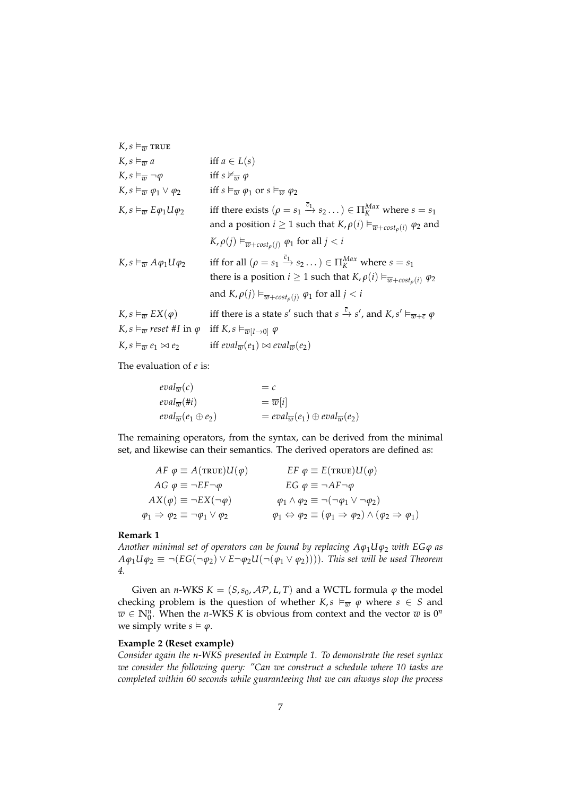| $K, s \vDash_{\overline{w}} \text{TRUE}$                           |                                                                                                                                                                                                                                                                                       |
|--------------------------------------------------------------------|---------------------------------------------------------------------------------------------------------------------------------------------------------------------------------------------------------------------------------------------------------------------------------------|
| $K, s \vDash_{\overline{w}} a$                                     | iff $a \in L(s)$                                                                                                                                                                                                                                                                      |
| $K, s \vDash_{\overline{w}} \neg \varphi$                          | iff $s \nvDash_{\overline{w}} \varphi$                                                                                                                                                                                                                                                |
| $K, s \vDash_{\overline{w}} \varphi_1 \vee \varphi_2$              | iff $s \vDash_{\overline{w}} \varphi_1$ or $s \vDash_{\overline{w}} \varphi_2$                                                                                                                                                                                                        |
| $K, s \vDash_{\overline{w}} E \varphi_1 U \varphi_2$               | iff there exists $(\rho = s_1 \xrightarrow{c_1} s_2 \dots) \in \Pi_K^{Max}$ where $s = s_1$<br>and a position $i \geq 1$ such that $K, \rho(i) \vDash_{\overline{w} + cost_{\rho}(i)} \varphi_2$ and<br>$K, \rho(j) \vDash_{\overline{w} + cost_{\rho}(j)} \varphi_1$ for all $j < i$ |
| $K, s \vDash_{\overline{w}} A \varphi_1 U \varphi_2$               | iff for all $(\rho = s_1 \xrightarrow{c_1} s_2 \dots) \in \Pi_K^{Max}$ where $s = s_1$<br>there is a position $i \geq 1$ such that $K, \rho(i) \vDash_{\overline{w} + cost_0(i)} \varphi_2$<br>and $K, \rho(j) \vDash_{\overline{w} + cost_{\rho}(j)} \varphi_1$ for all $j < i$      |
| $K, s \vDash_{\overline{w}} EX(\varphi)$                           | iff there is a state s' such that $s \xrightarrow{c} s'$ , and $K$ , $s' \vDash_{\overline{w} + \overline{c}} \varphi$                                                                                                                                                                |
| $K, s \vDash_{\overline{w}} \text{reset } \#I \text{ in } \varphi$ | iff K, $s \vDash_{\overline{w}[I \rightarrow 0]} \varphi$                                                                                                                                                                                                                             |
| $K, s \vDash_{\overline{m}} e_1 \bowtie e_2$                       | iff eval <sub><math>\overline{w}(e_1) \bowtie \text{eval}_{\overline{w}}(e_2)</math></sub>                                                                                                                                                                                            |

The evaluation of *e* is:

| $eval_{\overline{w}}(c)$              | $= c$                                                        |
|---------------------------------------|--------------------------------------------------------------|
| $eval_{\overline{w}}(\#i)$            | $=\overline{w}[i]$                                           |
| $eval_{\overline{w}}(e_1 \oplus e_2)$ | $= eval_{\overline{w}}(e_1) \oplus eval_{\overline{w}}(e_2)$ |

The remaining operators, from the syntax, can be derived from the minimal set, and likewise can their semantics. The derived operators are defined as:

| $AF \varphi \equiv A(\text{true})U(\varphi)$                           | $EF \varphi \equiv E(\text{TRUE})U(\varphi)$                                                                            |
|------------------------------------------------------------------------|-------------------------------------------------------------------------------------------------------------------------|
| AG $\varphi \equiv \neg EF \neg \varphi$                               | $EG \varphi \equiv \neg AF \neg \varphi$                                                                                |
| $AX(\varphi) \equiv \neg EX(\neg \varphi)$                             | $\varphi_1 \wedge \varphi_2 \equiv \neg(\neg \varphi_1 \vee \neg \varphi_2)$                                            |
| $\varphi_1 \Rightarrow \varphi_2 \equiv \neg \varphi_1 \vee \varphi_2$ | $\varphi_1 \Leftrightarrow \varphi_2 \equiv (\varphi_1 \Rightarrow \varphi_2) \wedge (\varphi_2 \Rightarrow \varphi_1)$ |

# **Remark 1**

*Another minimal set of operators can be found by replacing Aϕ*1*Uϕ*<sup>2</sup> *with EGϕ as*  $A\varphi_1 U\varphi_2 \equiv \neg(EG(\neg \varphi_2) \lor E \neg \varphi_2 U(\neg(\varphi_1 \lor \varphi_2))))$ . This set will be used Theorem *4.*

Given an *n*-WKS  $K = (S, s_0, \mathcal{AP}, L, T)$  and a WCTL formula  $\varphi$  the model checking problem is the question of whether  $K, s \vDash_{\overline{w}} \varphi$  where  $s \in S$  and  $\overline{w} \in \mathbb{N}_0^n$ . When the *n*-WKS *K* is obvious from context and the vector  $\overline{w}$  is 0<sup>*n*</sup> we simply write  $s \models \varphi$ .

# **Example 2 (Reset example)**

*Consider again the n-WKS presented in Example 1. To demonstrate the reset syntax we consider the following query: "Can we construct a schedule where 10 tasks are completed within 60 seconds while guaranteeing that we can always stop the process*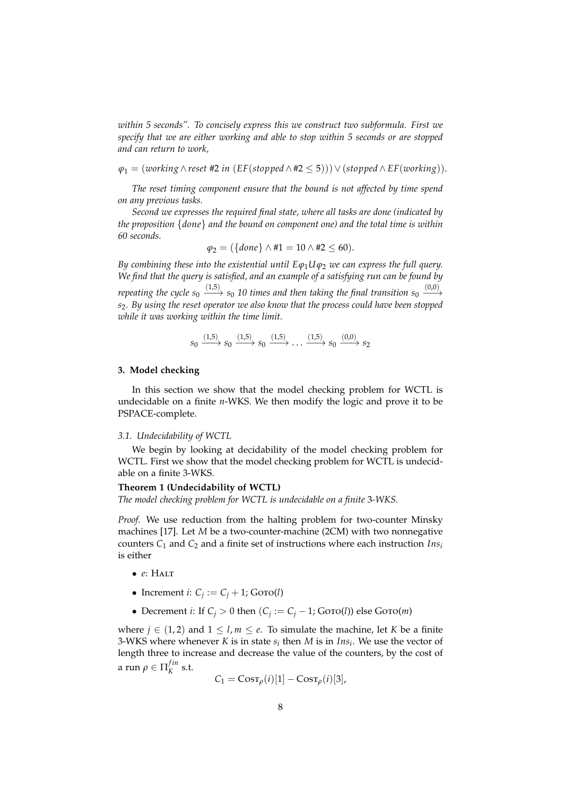*within 5 seconds". To concisely express this we construct two subformula. First we specify that we are either working and able to stop within 5 seconds or are stopped and can return to work,*

 $\varphi_1$  = (*working* ∧ *reset* #2 *in* (*EF*(*stopped* ∧ #2 ≤ 5)))  $\vee$  (*stopped* ∧ *EF*(*working*)).

*The reset timing component ensure that the bound is not affected by time spend on any previous tasks.*

*Second we expresses the required final state, where all tasks are done (indicated by the proposition* {*done*} *and the bound on component one) and the total time is within 60 seconds.*

$$
\varphi_2 = (\{\text{done}\} \land \#1 = 10 \land \#2 \leq 60).
$$

*By combining these into the existential until Eϕ*1*Uϕ*<sup>2</sup> *we can express the full query. We find that the query is satisfied, and an example of a satisfying run can be found by repeating the cycle* s<sub>0</sub>  $\xrightarrow{(1,5)}$  s<sub>0</sub> 10 times and then taking the final transition s<sub>0</sub>  $\xrightarrow{(0,0)}$ −−→ *s*2*. By using the reset operator we also know that the process could have been stopped while it was working within the time limit.*

$$
s_0 \xrightarrow{(1,5)} s_0 \xrightarrow{(1,5)} s_0 \xrightarrow{(1,5)} \dots \xrightarrow{(1,5)} s_0 \xrightarrow{(0,0)} s_2
$$

#### **3. Model checking**

In this section we show that the model checking problem for WCTL is undecidable on a finite *n*-WKS. We then modify the logic and prove it to be PSPACE-complete.

#### *3.1. Undecidability of WCTL*

We begin by looking at decidability of the model checking problem for WCTL. First we show that the model checking problem for WCTL is undecidable on a finite 3-WKS.

# **Theorem 1 (Undecidability of WCTL)**

*The model checking problem for WCTL is undecidable on a finite* 3*-WKS.*

*Proof.* We use reduction from the halting problem for two-counter Minsky machines [17]. Let *M* be a two-counter-machine (2CM) with two nonnegative counters  $C_1$  and  $C_2$  and a finite set of instructions where each instruction  $Ins_i$ is either

- *<sup>e</sup>*: Halt
- Increment *i*:  $C_j := C_j + 1$ ; Goro(*l*)
- Decrement *i*: If  $C_j > 0$  then  $(C_j := C_j 1; \text{Goro}(l))$  else  $\text{Goro}(m)$

where  $j \in (1,2)$  and  $1 \leq l, m \leq e$ . To simulate the machine, let *K* be a finite 3-WKS where whenever *K* is in state  $s_i$  then *M* is in  $Ins_i$ . We use the vector of length three to increase and decrease the value of the counters, by the cost of a run  $ρ ∈ Π<sup>fin</sup><sub>K</sub>$  $\frac{f^{in}}{K}$  s.t.

$$
C_1=\text{Cost}_\rho(i)[1]-\text{Cost}_\rho(i)[3],
$$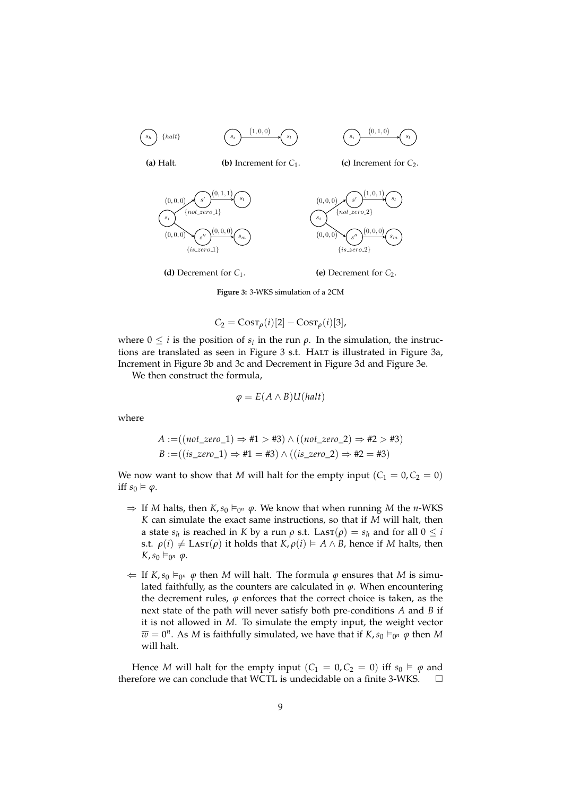

**(d)** Decrement for *C*<sup>1</sup> .



**Figure 3:** 3-WKS simulation of a 2CM

$$
C_2 = \text{Cosr}_{\rho}(i)[2] - \text{Cosr}_{\rho}(i)[3],
$$

where  $0 \leq i$  is the position of  $s_i$  in the run  $\rho$ . In the simulation, the instructions are translated as seen in Figure 3 s.t. HALT is illustrated in Figure 3a, Increment in Figure 3b and 3c and Decrement in Figure 3d and Figure 3e.

We then construct the formula,

$$
\varphi = E(A \wedge B)U(halt)
$$

where

$$
A := ((not\_zero\_1) \Rightarrow #1 > #3) \land ((not\_zero\_2) \Rightarrow #2 > #3)
$$
  

$$
B := ((is\_zero\_1) \Rightarrow #1 = #3) \land ((is\_zero\_2) \Rightarrow #2 = #3)
$$

We now want to show that *M* will halt for the empty input  $(C_1 = 0, C_2 = 0)$ iff  $s_0 \vDash \varphi$ .

- $\Rightarrow$  If *M* halts, then *K*,  $s_0 \vDash_{0^n} \varphi$ . We know that when running *M* the *n*-WKS *K* can simulate the exact same instructions, so that if *M* will halt, then a state *s*<sup>*h*</sup> is reached in *K* by a run  $\rho$  s.t. Last $(\rho) = s_h$  and for all  $0 \leq i$ s.t.  $\rho(i) \neq \text{LAST}(\rho)$  it holds that  $K, \rho(i) \models A \land B$ , hence if *M* halts, then  $K, s_0 \vDash_{0^n} \varphi.$
- $\Leftarrow$  If *K*, *s*<sub>0</sub>  $\models$ <sub>*0<sup>n</sup></sub>*  $ϕ$  then *M* will halt. The formula *ϕ* ensures that *M* is simu-</sub> lated faithfully, as the counters are calculated in  $\varphi$ . When encountering the decrement rules,  $\varphi$  enforces that the correct choice is taken, as the next state of the path will never satisfy both pre-conditions *A* and *B* if it is not allowed in *M*. To simulate the empty input, the weight vector  $\overline{w} = 0^n$ . As *M* is faithfully simulated, we have that if  $K$ ,  $s_0 \vDash_{0^n} \varphi$  then *M* will halt.

Hence *M* will halt for the empty input  $(C_1 = 0, C_2 = 0)$  iff  $s_0 \vDash \varphi$  and refore we can conclude that WCTL is undecidable on a finite 3-WKS. therefore we can conclude that WCTL is undecidable on a finite 3-WKS.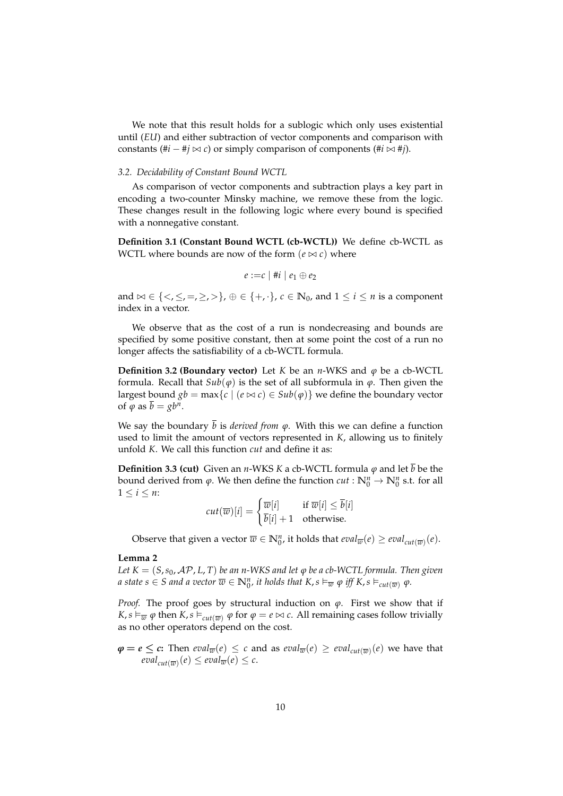We note that this result holds for a sublogic which only uses existential until (*EU*) and either subtraction of vector components and comparison with constants (#*i* − #*j*  $\infty$  *c*) or simply comparison of components (#*i*  $\infty$  #*j*).

#### *3.2. Decidability of Constant Bound WCTL*

As comparison of vector components and subtraction plays a key part in encoding a two-counter Minsky machine, we remove these from the logic. These changes result in the following logic where every bound is specified with a nonnegative constant.

**Definition 3.1 (Constant Bound WCTL (cb-WCTL))** We define cb-WCTL as WCTL where bounds are now of the form  $(e \bowtie c)$  where

$$
e := c \mid \#i \mid e_1 \oplus e_2
$$

and  $\bowtie \in \{ \langle \langle \cdot, \langle \cdot, =, \rangle \rangle \}, \oplus \in \{ +, \cdot \}, c \in \mathbb{N}_0, \text{ and } 1 \leq i \leq n \text{ is a component}$ index in a vector.

We observe that as the cost of a run is nondecreasing and bounds are specified by some positive constant, then at some point the cost of a run no longer affects the satisfiability of a cb-WCTL formula.

**Definition 3.2 (Boundary vector)** Let *K* be an *n*-WKS and  $\varphi$  be a cb-WCTL formula. Recall that  $Sub(\varphi)$  is the set of all subformula in  $\varphi$ . Then given the largest bound  $gb = max{c | (e \bowtie c) \in Sub(q)}$  we define the boundary vector of  $\varphi$  as  $\overline{b} = gb^n$ .

We say the boundary  $\bar{b}$  is *derived from*  $\varphi$ . With this we can define a function used to limit the amount of vectors represented in *K*, allowing us to finitely unfold *K*. We call this function *cut* and define it as:

**Definition 3.3 (cut)** Given an *n*-WKS *K* a cb-WCTL formula  $\varphi$  and let  $\overline{b}$  be the bound derived from  $\varphi$ . We then define the function  $cut : \mathbb{N}_0^n \to \mathbb{N}_0^n$  s.t. for all  $1 \leq i \leq n$ :

$$
cut(\overline{w})[i] = \begin{cases} \overline{w}[i] & \text{if } \overline{w}[i] \leq \overline{b}[i] \\ \overline{b}[i] + 1 & \text{otherwise.} \end{cases}
$$

Observe that given a vector  $\overline{w} \in \mathbb{N}_0^n$ , it holds that  $eval_{\overline{w}}(e) \ge eval_{cut(\overline{w})}(e)$ .

#### **Lemma 2**

*Let K* = (*S*,*s*0, AP, *L*, *T*) *be an n-WKS and let ϕ be a cb-WCTL formula. Then given*  $a$  state  $s \in S$  and  $a$  vector  $\overline{w} \in \mathbb{N}_0^n$ , it holds that  $K, s \vDash_{\overline{w}} \varphi$  iff  $K, s \vDash_{cut(\overline{w})} \varphi$ .

*Proof.* The proof goes by structural induction on *ϕ*. First we show that if *K*,  $s \vDash_{\overline{w}} \varphi$  then  $K$ ,  $s \vDash_{cut(\overline{w})} \varphi$  for  $\varphi = e \bowtie c$ . All remaining cases follow trivially as no other operators depend on the cost.

$$
\varphi = e \leq c
$$
: Then  $eval_{\overline{w}}(e) \leq c$  and as  $eval_{\overline{w}}(e) \geq eval_{cut(\overline{w})}(e)$  we have that  $eval_{cut(\overline{w})}(e) \leq eval_{cut(\overline{w})}(e) \leq c$ .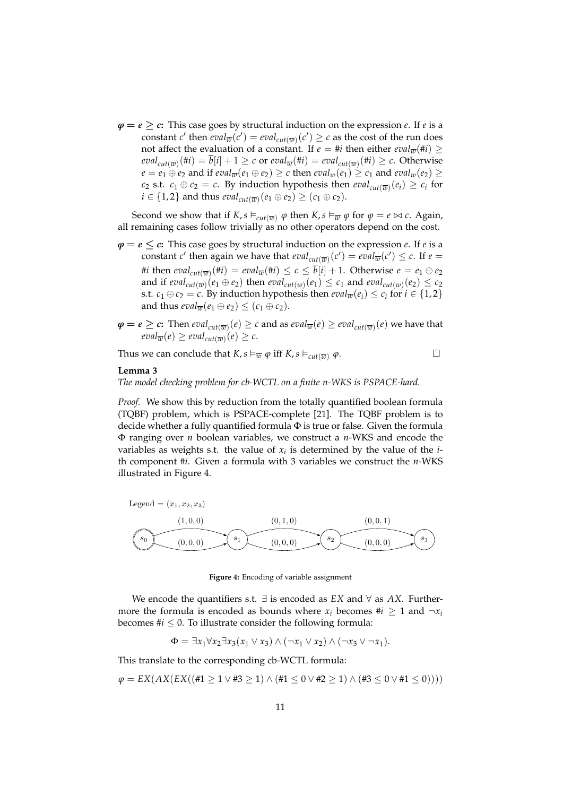$\varphi = e \geq c$ : This case goes by structural induction on the expression *e*. If *e* is a constant *c*' then  $eval_{\overline{w}}(c') = eval_{cut(\overline{w})}(c') \ge c$  as the cost of the run does not affect the evaluation of a constant. If  $e = \#i$  then either  $eval_{\overline{w}}(\#i) \geq 0$  $eval_{cut(\overline{w})}(\#i) = b[i] + 1 \ge c$  or  $eval_{\overline{w}}(\#i) = eval_{cut(\overline{w})}(\#i) \ge c$ . Otherwise *e* = *e*<sub>1</sub> ⊕ *e*<sub>2</sub> and if *eval*<sup>*w*</sup>(*e*<sub>1</sub> ⊕ *e*<sub>2</sub>) ≥ *c* then *eval<sub><i>w*</sub>(*e*<sub>1</sub>) ≥ *c*<sub>1</sub> and *eval<sub><i>w*</sub>(*e*<sub>2</sub>) ≥ *c*<sub>2</sub> s.t. *c*<sub>1</sub>  $\oplus$  *c*<sub>2</sub> = *c*. By induction hypothesis then *eval<sub>cut(* $\overline{w}$ *)*( $e_i$ )  $\geq$  *c<sub>i</sub>* for</sub> *i* ∈ {1,2} and thus  $eval_{cut(\overline{w})}(e_1 \oplus e_2) \geq (c_1 \oplus c_2)$ .

Second we show that if  $K, s \vDash_{cut(\overline{w})} \varphi$  then  $K, s \vDash_{\overline{w}} \varphi$  for  $\varphi = e \bowtie c$ . Again, all remaining cases follow trivially as no other operators depend on the cost.

- $\varphi = e \leq c$ : This case goes by structural induction on the expression *e*. If *e* is a constant *c*' then again we have that  $eval_{cut(\overline{w})}(c') = eval_{\overline{w}}(c') \leq c$ . If  $e =$ #*i* then  $eval_{cut(\overline{w})}(\#i) = eval_{\overline{w}}(\#i) \le c \le b[i] + 1$ . Otherwise  $e = e_1 \oplus e_2$ and if  $eval_{cut(\overline{w})}(e_1 \oplus e_2)$  then  $eval_{cut(w)}(e_1) \leq c_1$  and  $eval_{cut(w)}(e_2) \leq c_2$ s.t. *c*<sub>1</sub>  $\oplus$  *c*<sub>2</sub> = *c*. By induction hypothesis then  $eval_{\overline{w}}(e_i) \leq c_i$  for  $i \in \{1,2\}$ and thus  $eval_{\overline{w}}(e_1 \oplus e_2) \leq (c_1 \oplus c_2)$ .
- $\bm{\varphi} = \bm{e} \geq \bm{c}$ : Then  $eval_{cut(\overline{w})}(e) \geq c$  and as  $eval_{\overline{w}}(e) \geq eval_{cut(\overline{w})}(e)$  we have that  $\mathit{eval}_{\overline{w}}(e) \geq \mathit{eval}_{\mathit{cut}(\overline{w})}(e) \geq c.$

Thus we can conclude that  $K, s \vDash_{\overline{w}} \varphi$  iff  $K, s \vDash_{\text{cut}(\overline{w})} \varphi$ .

$$
\Box
$$

#### **Lemma 3**

*The model checking problem for cb-WCTL on a finite n-WKS is PSPACE-hard.*

*Proof.* We show this by reduction from the totally quantified boolean formula (TQBF) problem, which is PSPACE-complete [21]. The TQBF problem is to decide whether a fully quantified formula  $\Phi$  is true or false. Given the formula Φ ranging over *n* boolean variables, we construct a *n*-WKS and encode the variables as weights s.t. the value of  $x_i$  is determined by the value of the  $i$ th component #*i*. Given a formula with 3 variables we construct the *n*-WKS illustrated in Figure 4.



**Figure 4:** Encoding of variable assignment

We encode the quantifiers s.t. ∃ is encoded as *EX* and ∀ as *AX*. Furthermore the formula is encoded as bounds where  $x_i$  becomes  $\#i \geq 1$  and  $\neg x_i$ becomes  $\#i \leq 0$ . To illustrate consider the following formula:

$$
\Phi = \exists x_1 \forall x_2 \exists x_3 (x_1 \vee x_3) \wedge (\neg x_1 \vee x_2) \wedge (\neg x_3 \vee \neg x_1).
$$

This translate to the corresponding cb-WCTL formula:

$$
\varphi = EX(AX(EX((\#1 \ge 1 \vee \#3 \ge 1) \wedge (\#1 \le 0 \vee \#2 \ge 1) \wedge (\#3 \le 0 \vee \#1 \le 0))))
$$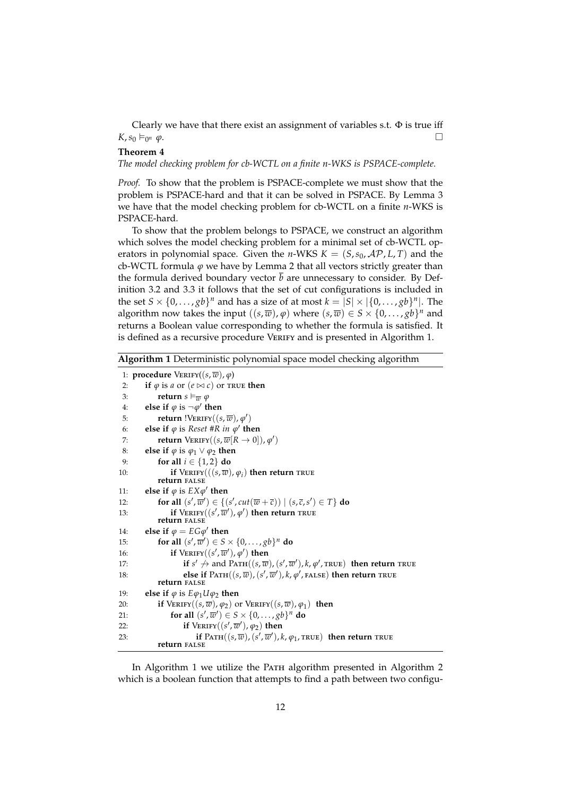Clearly we have that there exist an assignment of variables s.t.  $\Phi$  is true iff  $K, s_0 \vDash_{0^n} \varphi$ . *n*  $\varphi$ .

# **Theorem 4**

*The model checking problem for cb-WCTL on a finite n-WKS is PSPACE-complete.*

*Proof.* To show that the problem is PSPACE-complete we must show that the problem is PSPACE-hard and that it can be solved in PSPACE. By Lemma 3 we have that the model checking problem for cb-WCTL on a finite *n*-WKS is PSPACE-hard.

To show that the problem belongs to PSPACE, we construct an algorithm which solves the model checking problem for a minimal set of cb-WCTL operators in polynomial space. Given the *n*-WKS  $K = (S, s_0, AP, L, T)$  and the cb-WCTL formula *ϕ* we have by Lemma 2 that all vectors strictly greater than the formula derived boundary vector  $\bar{b}$  are unnecessary to consider. By Definition 3.2 and 3.3 it follows that the set of cut configurations is included in the set  $S \times \{0, \ldots, g_b\}^n$  and has a size of at most  $k = |S| \times |\{0, \ldots, g_b\}^n|$ . The algorithm now takes the input  $((s,\overline{w}), \varphi)$  where  $(s,\overline{w}) \in S \times \{0,\ldots,gb\}^n$  and returns a Boolean value corresponding to whether the formula is satisfied. It is defined as a recursive procedure VERIFY and is presented in Algorithm 1.

**Algorithm 1** Deterministic polynomial space model checking algorithm

|     | 1: <b>procedure</b> $VERIFY((s, \overline{w}), \varphi)$                                                          |
|-----|-------------------------------------------------------------------------------------------------------------------|
| 2:  | if $\varphi$ is a or $(e \bowtie c)$ or TRUE then                                                                 |
| 3:  | return $s \vDash_{\overline{w}} \varphi$                                                                          |
| 4:  | else if $\varphi$ is $\neg \varphi'$ then                                                                         |
| 5:  | return ! $V_{\text{ERIFY}}((s, \overline{w}), \varphi')$                                                          |
| 6:  | else if $\varphi$ is <i>Reset</i> # <i>R</i> in $\varphi'$ then                                                   |
| 7:  | <b>return</b> VERIFY $((s, \overline{w}[R \rightarrow 0]), \varphi')$                                             |
| 8:  | else if $\varphi$ is $\varphi_1 \vee \varphi_2$ then                                                              |
| 9:  | for all $i \in \{1,2\}$ do                                                                                        |
| 10: | if VERIFY( $((s,\overline{w}),\varphi_i)$ then return TRUE                                                        |
|     | return FALSE                                                                                                      |
| 11: | else if $\varphi$ is $EX\varphi'$ then                                                                            |
| 12: | for all $(s', \overline{w}') \in \{(s', cut(\overline{w} + \overline{c}))   (s, \overline{c}, s') \in T\}$ do     |
| 13: | if VERIFY( $(s', \overline{w}')$ , $\varphi'$ ) then return TRUE<br>return FALSE                                  |
|     |                                                                                                                   |
| 14: | else if $\varphi = EG\varphi'$ then                                                                               |
| 15: | for all $(s', \overline{w}') \in S \times \{0, \ldots, gb\}^n$ do                                                 |
| 16: | if VERIFY $((s', \overline{w}'), \varphi')$ then                                                                  |
| 17: | if $s' \nrightarrow$ and PATH $((s,\overline{w}), (s',\overline{w}'), k, \varphi', \text{TRUE})$ then return TRUE |
| 18: | else if $\text{PATH}((s,\overline{w}), (s',\overline{w}'), k, \varphi', \text{FALSE})$ then return TRUE           |
|     | return FALSE                                                                                                      |
| 19: | else if $\varphi$ is $E\varphi_1 U\varphi_2$ then                                                                 |
| 20: | <b>if</b> VERIFY $((s,\overline{w}),\varphi_2)$ or VERIFY $((s,\overline{w}),\varphi_1)$ then                     |
| 21: | for all $(s', \overline{w}') \in S \times \{0, \ldots, gb\}^n$ do                                                 |
| 22: | if VERIFY $((s', \overline{w}'), \varphi_2)$ then                                                                 |
| 23: | <b>if</b> PATH( $(s,\overline{w})$ , $(s',\overline{w}')$ , $k$ , $\varphi_1$ , TRUE) <b>then return</b> TRUE     |
|     | return FALSE                                                                                                      |

In Algorithm 1 we utilize the Par $H$  algorithm presented in Algorithm 2 which is a boolean function that attempts to find a path between two configu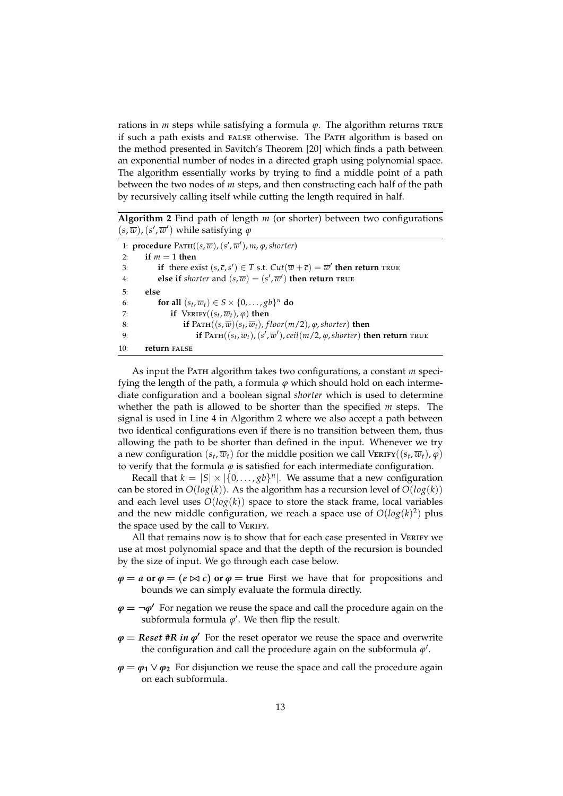rations in *m* steps while satisfying a formula *ϕ*. The algorithm returns true if such a path exists and false otherwise. The Path algorithm is based on the method presented in Savitch's Theorem [20] which finds a path between an exponential number of nodes in a directed graph using polynomial space. The algorithm essentially works by trying to find a middle point of a path between the two nodes of *m* steps, and then constructing each half of the path by recursively calling itself while cutting the length required in half.

**Algorithm 2** Find path of length *m* (or shorter) between two configurations  $(s, \overline{w})$ ,  $(s', \overline{w}')$  while satisfying  $\varphi$ 

1: **procedure** PATH((*s*,  $\overline{w}$ ), (*s'*,  $\overline{w}'$ ), *m*, φ, *shorter*) 2: **if**  $m = 1$  **then** 3: **if** there exist  $(s, \overline{c}, s') \in T$  s.t.  $Cut(\overline{w} + \overline{c}) = \overline{w}'$  then return TRUE **4: else if** *shorter* and  $(s, \overline{w}) = (s', \overline{w}')$  **then return** TRUE 5: **else** 6: **for all**  $(s_t, \overline{w}_t) \in S \times \{0, \ldots, gb\}^n$  **do** 7: **if**  $VERIFY((s_t, \overline{w}_t), \varphi)$  then 8: **if**  $\text{Part}_{\text{H}}((s, \overline{w})(s_t, \overline{w}_t), \text{floor}(m/2), \varphi, \text{shorter})$  then 9: **if**  $\text{PATH}((s_t, \overline{w}_t), (s', \overline{w}'))$ , ceil $(m/2, \varphi, \text{shorter})$  **then return** true 10: **return** false

As input the Par<sub>H</sub> algorithm takes two configurations, a constant *m* specifying the length of the path, a formula  $\varphi$  which should hold on each intermediate configuration and a boolean signal *shorter* which is used to determine whether the path is allowed to be shorter than the specified *m* steps. The signal is used in Line 4 in Algorithm 2 where we also accept a path between two identical configurations even if there is no transition between them, thus allowing the path to be shorter than defined in the input. Whenever we try a new configuration  $(s_t, \overline{w}_t)$  for the middle position we call VERIFY $((s_t, \overline{w}_t), \varphi)$ to verify that the formula  $\varphi$  is satisfied for each intermediate configuration.

Recall that  $k = |S| \times |\{0, \ldots, gb\}^n|$ . We assume that a new configuration can be stored in  $O(log(k))$ . As the algorithm has a recursion level of  $O(log(k))$ and each level uses  $O(log(k))$  space to store the stack frame, local variables and the new middle configuration, we reach a space use of  $O(log(k)^2)$  plus the space used by the call to VERIFY.

All that remains now is to show that for each case presented in VERIFY we use at most polynomial space and that the depth of the recursion is bounded by the size of input. We go through each case below.

- $\varphi = a$  or  $\varphi = (e \bowtie c)$  or  $\varphi =$  true First we have that for propositions and bounds we can simply evaluate the formula directly.
- $\varphi = \neg \varphi'$  For negation we reuse the space and call the procedure again on the subformula formula  $\varphi'$ . We then flip the result.
- *ϕ* = *Reset* **#***R in ϕ*<sup>0</sup> For the reset operator we reuse the space and overwrite the configuration and call the procedure again on the subformula  $\varphi'$ .
- $\varphi = \varphi_1 \vee \varphi_2$  For disjunction we reuse the space and call the procedure again on each subformula.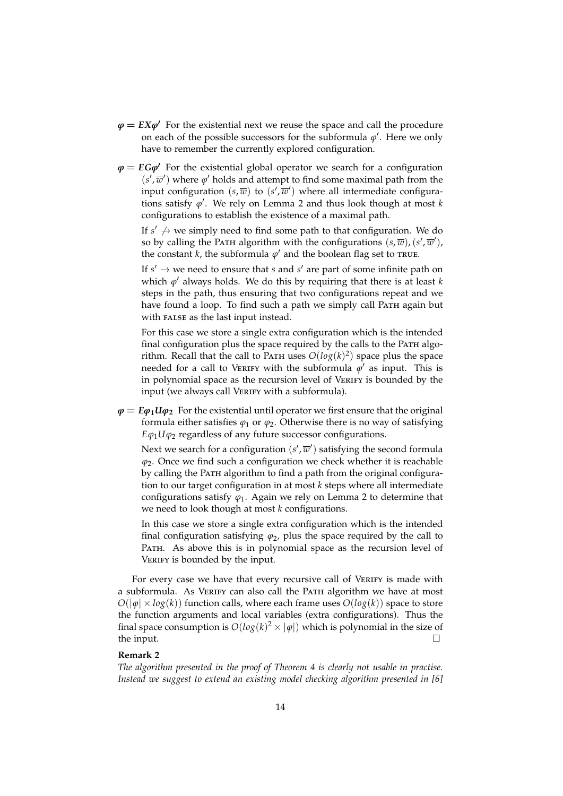- $\varphi = E X \varphi'$  For the existential next we reuse the space and call the procedure on each of the possible successors for the subformula  $\varphi'$ . Here we only have to remember the currently explored configuration.
- $φ$  = *EG*<sup> $φ$ </sup> For the existential global operator we search for a configuration  $(s', \overline{w}')$  where  $\varphi'$  holds and attempt to find some maximal path from the input configuration  $(s, \overline{w})$  to  $(s', \overline{w}')$  where all intermediate configurations satisfy *ϕ* 0 . We rely on Lemma 2 and thus look though at most *k* configurations to establish the existence of a maximal path.

If  $s' \nightharpoonup$  we simply need to find some path to that configuration. We do so by calling the PATH algorithm with the configurations  $(s, \overline{w})$ ,  $(s', \overline{w}')$ , the constant  $k$ , the subformula  $\varphi'$  and the boolean flag set to TRUE.

If  $s' \to \infty$  need to ensure that *s* and *s'* are part of some infinite path on which *ϕ* 0 always holds. We do this by requiring that there is at least *k* steps in the path, thus ensuring that two configurations repeat and we have found a loop. To find such a path we simply call PATH again but with FALSE as the last input instead.

For this case we store a single extra configuration which is the intended final configuration plus the space required by the calls to the Path algorithm. Recall that the call to PATH uses  $O(log(k)^2)$  space plus the space needed for a call to VERIFY with the subformula  $\varphi'$  as input. This is in polynomial space as the recursion level of VERIFY is bounded by the input (we always call VERIFY with a subformula).

 $\varphi = E\varphi_1 \mathcal{U} \varphi_2$  For the existential until operator we first ensure that the original formula either satisfies  $\varphi_1$  or  $\varphi_2$ . Otherwise there is no way of satisfying  $E\varphi_1 U\varphi_2$  regardless of any future successor configurations.

Next we search for a configuration  $(s', \overline{w}')$  satisfying the second formula *ϕ*2. Once we find such a configuration we check whether it is reachable by calling the PATH algorithm to find a path from the original configuration to our target configuration in at most *k* steps where all intermediate configurations satisfy  $\varphi_1$ . Again we rely on Lemma 2 to determine that we need to look though at most *k* configurations.

In this case we store a single extra configuration which is the intended final configuration satisfying  $\varphi_2$ , plus the space required by the call to PATH. As above this is in polynomial space as the recursion level of VERIFY is bounded by the input.

For every case we have that every recursive call of VERIFY is made with a subformula. As VERIFY can also call the PATH algorithm we have at most  $O(|\varphi| \times log(k))$  function calls, where each frame uses  $O(log(k))$  space to store the function arguments and local variables (extra configurations). Thus the final space consumption is  $O(log(k)^2 \times |\varphi|)$  which is polynomial in the size of the input.  $\Box$ 

#### **Remark 2**

*The algorithm presented in the proof of Theorem 4 is clearly not usable in practise. Instead we suggest to extend an existing model checking algorithm presented in [6]*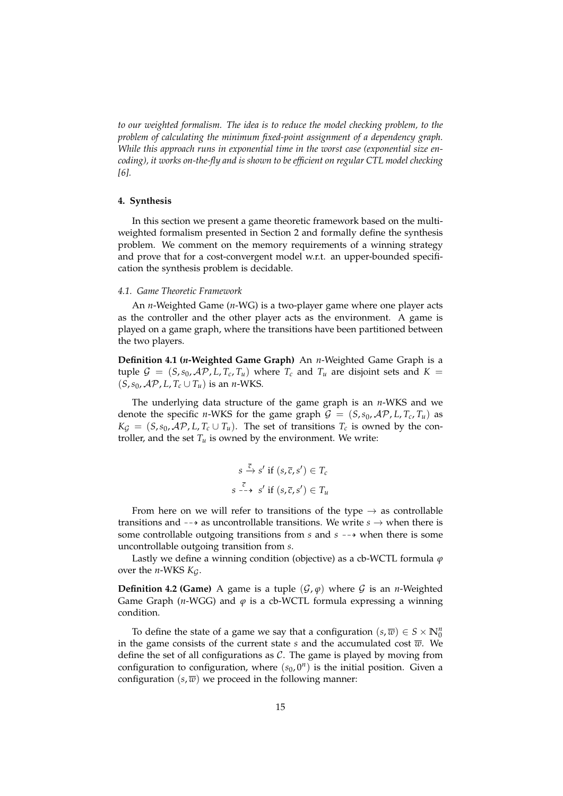*to our weighted formalism. The idea is to reduce the model checking problem, to the problem of calculating the minimum fixed-point assignment of a dependency graph. While this approach runs in exponential time in the worst case (exponential size encoding), it works on-the-fly and is shown to be efficient on regular CTL model checking [6].*

# **4. Synthesis**

In this section we present a game theoretic framework based on the multiweighted formalism presented in Section 2 and formally define the synthesis problem. We comment on the memory requirements of a winning strategy and prove that for a cost-convergent model w.r.t. an upper-bounded specification the synthesis problem is decidable.

#### *4.1. Game Theoretic Framework*

An *n*-Weighted Game (*n*-WG) is a two-player game where one player acts as the controller and the other player acts as the environment. A game is played on a game graph, where the transitions have been partitioned between the two players.

**Definition 4.1 (***n***-Weighted Game Graph)** An *n*-Weighted Game Graph is a tuple  $G = (S, s_0, \mathcal{AP}, L, T_c, T_u)$  where  $T_c$  and  $T_u$  are disjoint sets and  $K =$  $(S, s_0, AP, L, T_c \cup T_u)$  is an *n*-WKS.

The underlying data structure of the game graph is an *n*-WKS and we denote the specific *n*-WKS for the game graph  $G = (S, s_0, AP, L, T_c, T_u)$  as  $K_G = (S, s_0, \mathcal{AP}, L, T_c \cup T_u)$ . The set of transitions  $T_c$  is owned by the controller, and the set  $T_u$  is owned by the environment. We write:

$$
s \xrightarrow{\overline{c}} s' \text{ if } (s, \overline{c}, s') \in T_c
$$
  

$$
s \xrightarrow{\overline{c}} s' \text{ if } (s, \overline{c}, s') \in T_u
$$

From here on we will refer to transitions of the type  $\rightarrow$  as controllable transitions and  $-\rightarrow$  as uncontrollable transitions. We write  $s \rightarrow$  when there is some controllable outgoing transitions from  $s$  and  $s \rightarrow$  when there is some uncontrollable outgoing transition from *s*.

Lastly we define a winning condition (objective) as a cb-WCTL formula *ϕ* over the *n*-WKS  $K_{\mathcal{G}}$ .

**Definition 4.2 (Game)** A game is a tuple  $(\mathcal{G}, \varphi)$  where  $\mathcal{G}$  is an *n*-Weighted Game Graph ( $n$ -WGG) and  $\varphi$  is a cb-WCTL formula expressing a winning condition.

To define the state of a game we say that a configuration  $(s, \overline{w}) \in S \times \mathbb{N}_0^n$ in the game consists of the current state  $s$  and the accumulated cost  $\overline{w}$ . We define the set of all configurations as  $C$ . The game is played by moving from configuration to configuration, where  $(s_0, 0^n)$  is the initial position. Given a configuration  $(s, \overline{w})$  we proceed in the following manner: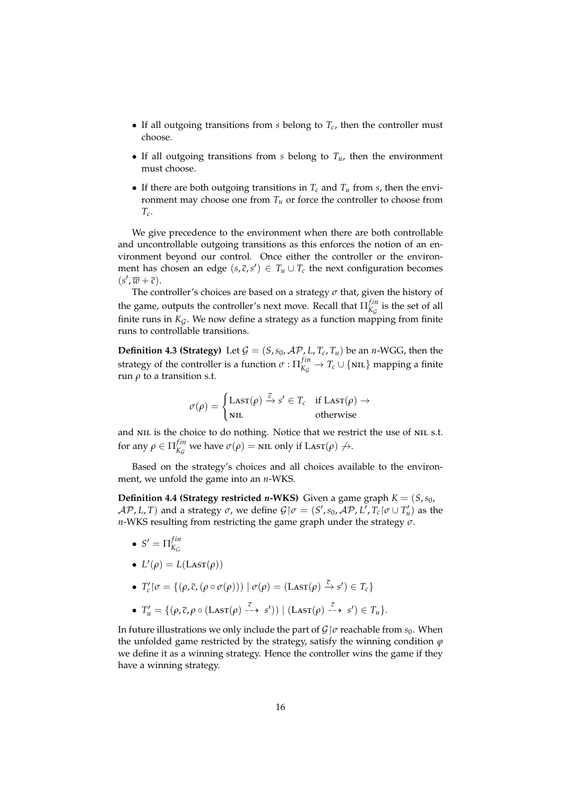- If all outgoing transitions from *s* belong to *Tc*, then the controller must choose.
- If all outgoing transitions from  $s$  belong to  $T_u$ , then the environment must choose.
- If there are both outgoing transitions in  $T_c$  and  $T_u$  from *s*, then the environment may choose one from  $T_u$  or force the controller to choose from *Tc*.

We give precedence to the environment when there are both controllable and uncontrollable outgoing transitions as this enforces the notion of an environment beyond our control. Once either the controller or the environment has chosen an edge  $(s, \overline{c}, s') \in T_u \cup T_c$  the next configuration becomes  $(s', \overline{w} + \overline{c}).$ 

The controller's choices are based on a strategy  $\sigma$  that, given the history of the game, outputs the controller's next move. Recall that  $\Pi_{K_c}^{fin}$  $K_G$  is the set of all finite runs in  $K_G$ . We now define a strategy as a function mapping from finite runs to controllable transitions.

**Definition 4.3 (Strategy)** Let  $G = (S, s_0, \mathcal{AP}, L, T_c, T_u)$  be an *n*-WGG, then the strategy of the controller is a function  $\sigma$  :  $\Pi_{Kc}^{fin}$  $\frac{f^{tn}}{K_G}$  →  $T_c$  ∪ {NIL} mapping a finite run  $\rho$  to a transition s.t.

$$
\sigma(\rho) = \begin{cases} \text{LAST}(\rho) \xrightarrow{\overline{c}} s' \in T_c & \text{if } \text{LAST}(\rho) \to \\ \text{nil} & \text{otherwise} \end{cases}
$$

and NIL is the choice to do nothing. Notice that we restrict the use of NIL s.t. for any  $\rho \in \Pi_{K_{\mathcal{G}}}^{fin}$  $J_{K_G}^{tn}$  we have  $\sigma(\rho) = \text{NIL only if } \text{LAST}(\rho) \nrightarrow$ .

Based on the strategy's choices and all choices available to the environment, we unfold the game into an *n*-WKS.

**Definition 4.4 (Strategy restricted** *n***-WKS)** Given a game graph  $K = (S, s_0, s_1)$  $\mathcal{AP}, L, T$  and a strategy  $\sigma$ , we define  $\mathcal{G}\not\subset (\mathcal{S}', s_0, \mathcal{AP}, L', T_c\, \sigma \cup T'_u)$  as the *n*-WKS resulting from restricting the game graph under the strategy *σ*.

- $S' = \prod_{K_G}^{fin}$ *K<sup>G</sup>*
- $L'(\rho) = L(Lasr(\rho))$

• 
$$
T'_{c} \upharpoonright \sigma = \{(\rho, \overline{c}, (\rho \circ \sigma(\rho))) \mid \sigma(\rho) = (\text{LAST}(\rho) \stackrel{\overline{c}}{\rightarrow} s') \in T_{c}\}\
$$

• 
$$
T'_u = \{(\rho, \overline{c}, \rho \circ (\text{LAST}(\rho) \stackrel{\overline{c}}{\dashrightarrow} s')) \mid (\text{LAST}(\rho) \stackrel{\overline{c}}{\dashrightarrow} s') \in T_u\}.
$$

In future illustrations we only include the part of  $\mathcal{G}$  |σ reachable from *s*<sub>0</sub>. When the unfolded game restricted by the strategy, satisfy the winning condition *ϕ* we define it as a winning strategy. Hence the controller wins the game if they have a winning strategy.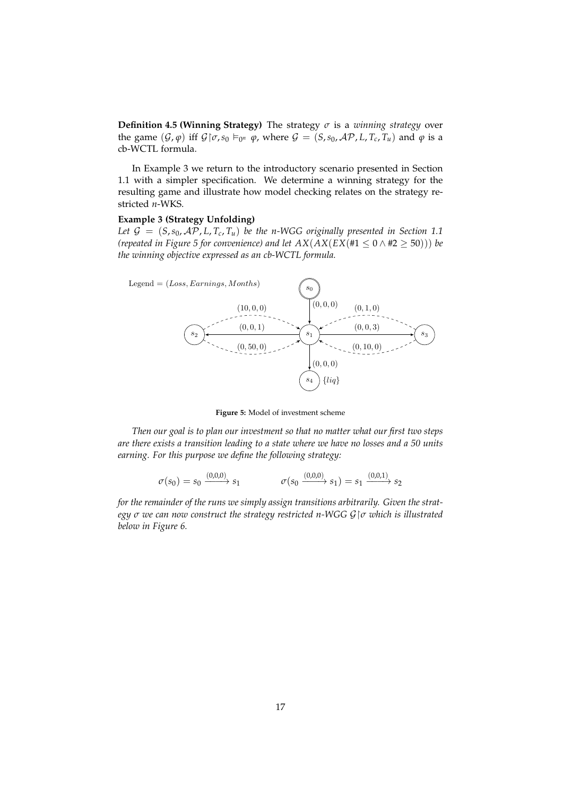**Definition 4.5 (Winning Strategy)** The strategy *σ* is a *winning strategy* over the game  $(G, \varphi)$  iff  $G \mid \sigma, s_0 \models_{0^n} \varphi$ , where  $G = (S, s_0, \mathcal{AP}, L, T_c, T_u)$  and  $\varphi$  is a cb-WCTL formula.

In Example 3 we return to the introductory scenario presented in Section 1.1 with a simpler specification. We determine a winning strategy for the resulting game and illustrate how model checking relates on the strategy restricted *n*-WKS.

# **Example 3 (Strategy Unfolding)**

*Let*  $G = (S, s_0, AP, L, T_c, T_u)$  *be the n-WGG originally presented in Section 1.1 (repeated in Figure 5 for convenience) and let*  $AX(AX(EX(\#1 \le 0 \land \#2 \ge 50)))$  *be the winning objective expressed as an cb-WCTL formula.*



**Figure 5:** Model of investment scheme

*Then our goal is to plan our investment so that no matter what our first two steps are there exists a transition leading to a state where we have no losses and a 50 units earning. For this purpose we define the following strategy:*

$$
\sigma(s_0) = s_0 \xrightarrow{(0,0,0)} s_1 \qquad \qquad \sigma(s_0 \xrightarrow{(0,0,0)} s_1) = s_1 \xrightarrow{(0,0,1)} s_2
$$

*for the remainder of the runs we simply assign transitions arbitrarily. Given the strategy σ we can now construct the strategy restricted n-WGG* G*σ which is illustrated below in Figure 6.*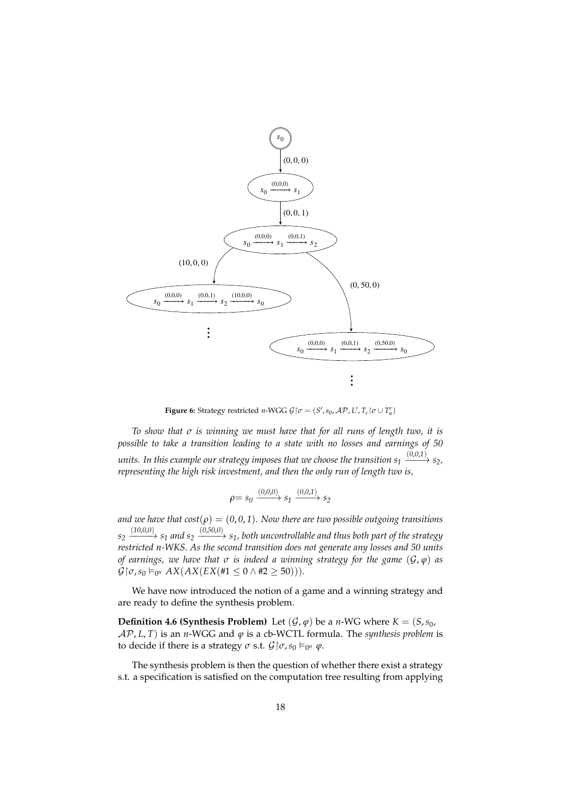

**Figure 6:** Strategy restricted *n*-WGG  $\mathcal{G}$  |  $\sigma = (S', s_0, \mathcal{AP}, L', T_c$  |  $\sigma \cup T'_u$  |

*To show that σ is winning we must have that for all runs of length two, it is possible to take a transition leading to a state with no losses and earnings of 50*  $1$ ,  $2p$  is example our strategy imposes that we choose the transition  $s_1 \xrightarrow{(0,0,1)} s_2$ , *representing the high risk investment, and then the only run of length two is,*

$$
\rho = s_0 \xrightarrow{(0,0,0)} s_1 \xrightarrow{(0,0,1)} s_2
$$

*and we have that*  $cost(\rho) = (0, 0, 1)$ *. Now there are two possible outgoing transitions*  $s_2 \xrightarrow{(10,0,0)} s_1$  and  $s_2 \xrightarrow{(0,50,0)} s_1$ , both uncontrollable and thus both part of the strategy *restricted n-WKS. As the second transition does not generate any losses and 50 units of earnings, we have that σ is indeed a winning strategy for the game* (G, *ϕ*) *as*  $G[\sigma, s_0 \vDash_{0^n} AX(AX(EX(\#1 \leq 0 \land \#2 \geq 50))).$ 

We have now introduced the notion of a game and a winning strategy and are ready to define the synthesis problem.

**Definition 4.6 (Synthesis Problem)** Let  $(G, \varphi)$  be a *n*-WG where  $K = (S, s_0,$ AP, *L*, *T*) is an *n*-WGG and *ϕ* is a cb-WCTL formula. The *synthesis problem* is to decide if there is a strategy  $\sigma$  s.t.  $\mathcal{G}\vert \sigma$ ,  $s_0 \vDash_{0^n} \varphi$ .

The synthesis problem is then the question of whether there exist a strategy s.t. a specification is satisfied on the computation tree resulting from applying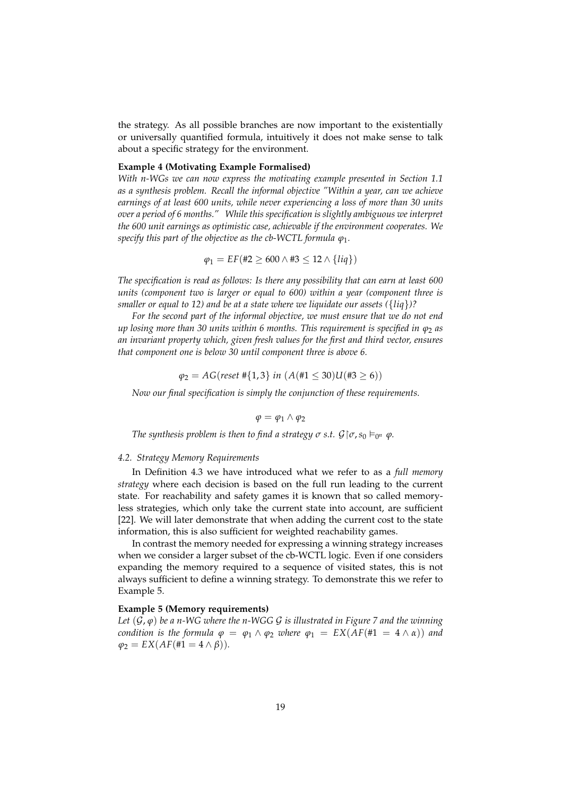the strategy. As all possible branches are now important to the existentially or universally quantified formula, intuitively it does not make sense to talk about a specific strategy for the environment.

#### **Example 4 (Motivating Example Formalised)**

*With n-WGs we can now express the motivating example presented in Section 1.1 as a synthesis problem. Recall the informal objective "Within a year, can we achieve earnings of at least 600 units, while never experiencing a loss of more than 30 units over a period of 6 months." While this specification is slightly ambiguous we interpret the 600 unit earnings as optimistic case, achievable if the environment cooperates. We specify this part of the objective as the cb-WCTL formula*  $\varphi_1$ *.* 

$$
\varphi_1 = EF(\text{\#2} \ge 600 \land \text{\#3} \le 12 \land \{liq\})
$$

*The specification is read as follows: Is there any possibility that can earn at least 600 units (component two is larger or equal to 600) within a year (component three is smaller or equal to 12) and be at a state where we liquidate our assets (*{*liq*}*)?*

*For the second part of the informal objective, we must ensure that we do not end up losing more than 30 units within 6 months. This requirement is specified in ϕ*<sup>2</sup> *as an invariant property which, given fresh values for the first and third vector, ensures that component one is below 30 until component three is above 6.*

$$
\varphi_2 = AG(reset \# \{1,3\} \ in \ (A(\#1 \leq 30)U(\#3 \geq 6))
$$

*Now our final specification is simply the conjunction of these requirements.*

$$
\varphi=\varphi_1\wedge\varphi_2
$$

*The synthesis problem is then to find a strategy*  $\sigma$  *<i>s.t.*  $\mathcal{G} \mathcal{G} \circ \sigma$ ,  $s_0 \vDash_{0^n} \varphi$ .

#### *4.2. Strategy Memory Requirements*

In Definition 4.3 we have introduced what we refer to as a *full memory strategy* where each decision is based on the full run leading to the current state. For reachability and safety games it is known that so called memoryless strategies, which only take the current state into account, are sufficient [22]. We will later demonstrate that when adding the current cost to the state information, this is also sufficient for weighted reachability games.

In contrast the memory needed for expressing a winning strategy increases when we consider a larger subset of the cb-WCTL logic. Even if one considers expanding the memory required to a sequence of visited states, this is not always sufficient to define a winning strategy. To demonstrate this we refer to Example 5.

# **Example 5 (Memory requirements)**

*Let* (G, *ϕ*) *be a n-WG where the n-WGG* G *is illustrated in Figure 7 and the winning condition is the formula*  $\varphi = \varphi_1 \wedge \varphi_2$  *where*  $\varphi_1 = EX(AF(\#1 = 4 \wedge \alpha))$  *and*  $\varphi_2 = EX(AF(\#1 = 4 \land \beta)).$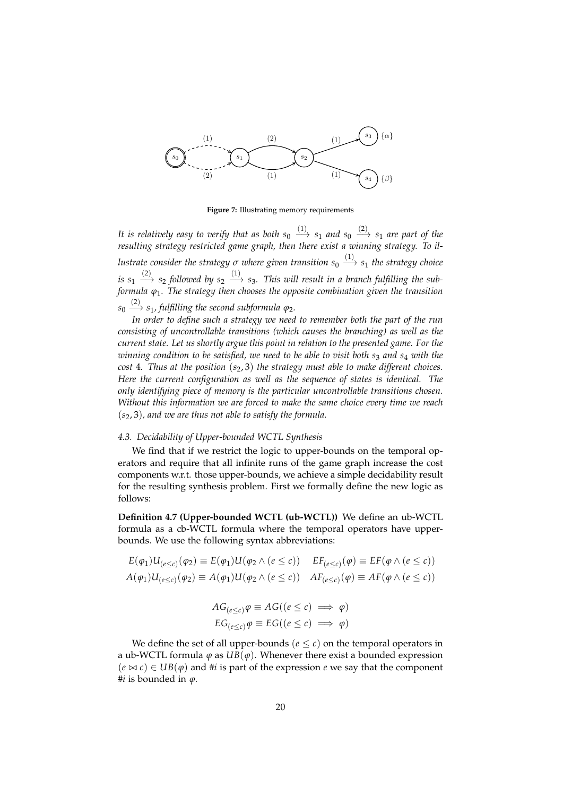

**Figure 7:** Illustrating memory requirements

*It is relatively easy to verify that as both s<sub>0</sub>*  $\stackrel{(1)}{\longrightarrow}$  *s<sub>1</sub> and s<sub>0</sub>*  $\stackrel{(2)}{\longrightarrow}$  *s<sub>1</sub> are part of the resulting strategy restricted game graph, then there exist a winning strategy. To illustrate consider the strategy*  $\sigma$  *where given transition*  $s_0 \xrightarrow{(1)} s_1$  *the strategy choice* is  $s_1 \xrightarrow{(2)} s_2$  followed by  $s_2 \xrightarrow{(1)} s_3$ . This will result in a branch fulfilling the sub*formula ϕ*1*. The strategy then chooses the opposite combination given the transition*  $s_0 \stackrel{(2)}{\longrightarrow} s_1$ , fulfilling the second subformula  $\varphi_2$ .

*In order to define such a strategy we need to remember both the part of the run consisting of uncontrollable transitions (which causes the branching) as well as the current state. Let us shortly argue this point in relation to the presented game. For the winning condition to be satisfied, we need to be able to visit both s*<sup>3</sup> *and s*<sup>4</sup> *with the cost* 4*. Thus at the position* (*s*2, 3) *the strategy must able to make different choices. Here the current configuration as well as the sequence of states is identical. The only identifying piece of memory is the particular uncontrollable transitions chosen. Without this information we are forced to make the same choice every time we reach* (*s*2, 3)*, and we are thus not able to satisfy the formula.*

#### *4.3. Decidability of Upper-bounded WCTL Synthesis*

We find that if we restrict the logic to upper-bounds on the temporal operators and require that all infinite runs of the game graph increase the cost components w.r.t. those upper-bounds, we achieve a simple decidability result for the resulting synthesis problem. First we formally define the new logic as follows:

**Definition 4.7 (Upper-bounded WCTL (ub-WCTL))** We define an ub-WCTL formula as a cb-WCTL formula where the temporal operators have upperbounds. We use the following syntax abbreviations:

$$
E(\varphi_1)U_{(e \leq c)}(\varphi_2) \equiv E(\varphi_1)U(\varphi_2 \land (e \leq c)) \qquad EF_{(e \leq c)}(\varphi) \equiv EF(\varphi \land (e \leq c))
$$
  

$$
A(\varphi_1)U_{(e \leq c)}(\varphi_2) \equiv A(\varphi_1)U(\varphi_2 \land (e \leq c)) \qquad AF_{(e \leq c)}(\varphi) \equiv AF(\varphi \land (e \leq c))
$$

$$
AG_{(e \le c)} \varphi \equiv AG((e \le c) \implies \varphi)
$$
  

$$
EG_{(e \le c)} \varphi \equiv EG((e \le c) \implies \varphi)
$$

We define the set of all upper-bounds ( $e \le c$ ) on the temporal operators in a ub-WCTL formula  $\varphi$  as  $UB(\varphi)$ . Whenever there exist a bounded expression  $(e \bowtie c) \in UB(\varphi)$  and #*i* is part of the expression *e* we say that the component #*i* is bounded in *ϕ*.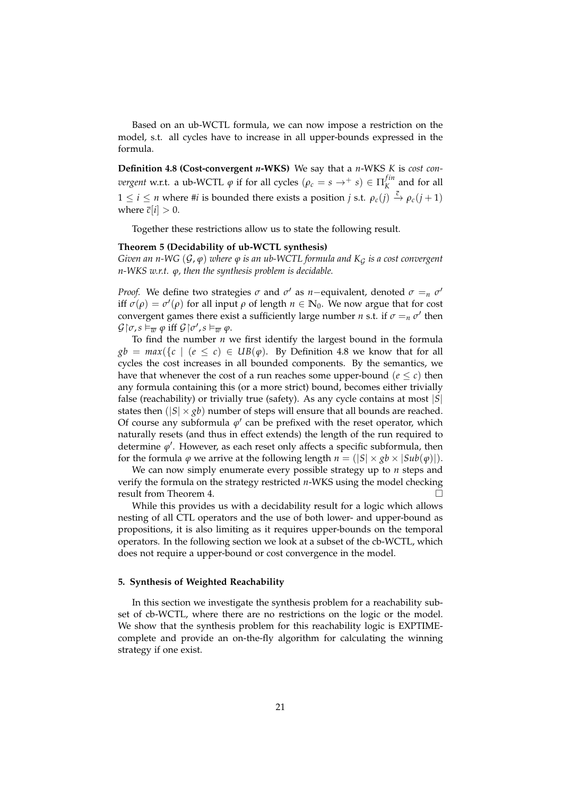Based on an ub-WCTL formula, we can now impose a restriction on the model, s.t. all cycles have to increase in all upper-bounds expressed in the formula.

**Definition 4.8 (Cost-convergent** *n***-WKS)** We say that a *n*-WKS *K* is *cost convergent* w.r.t. a ub-WCTL  $\varphi$  if for all cycles  $(\rho_c = s \rightarrow^+ s) \in \Pi_K^{fin}$  $\binom{m}{K}$  and for all  $1 \leq i \leq n$  where #*i* is bounded there exists a position *j* s.t.  $\rho_c(j) \stackrel{\bar{c}}{\rightarrow} \rho_c(j+1)$ where  $\overline{c}[i] > 0$ .

Together these restrictions allow us to state the following result.

# **Theorem 5 (Decidability of ub-WCTL synthesis)**

*Given an n-WG* (G, *ϕ*) *where ϕ is an ub-WCTL formula and K*<sup>G</sup> *is a cost convergent n-WKS w.r.t. ϕ, then the synthesis problem is decidable.*

*Proof.* We define two strategies  $\sigma$  and  $\sigma'$  as *n*−equivalent, denoted  $\sigma =_n \sigma'$ iff  $\sigma(\rho) = \sigma'(\rho)$  for all input  $\rho$  of length  $n \in \mathbb{N}_0$ . We now argue that for cost convergent games there exist a sufficiently large number *n* s.t. if  $\sigma =_n \sigma'$  then  $\mathcal{G}\upharpoonright \sigma$ ,  $s \vDash_{\overline{w}} \varphi$  iff  $\mathcal{G}\upharpoonright \sigma'$ ,  $s \vDash_{\overline{w}} \varphi$ .

To find the number *n* we first identify the largest bound in the formula  $gb = max({c | (e \le c) \in UB(\varphi)}$ . By Definition 4.8 we know that for all cycles the cost increases in all bounded components. By the semantics, we have that whenever the cost of a run reaches some upper-bound ( $e \leq c$ ) then any formula containing this (or a more strict) bound, becomes either trivially false (reachability) or trivially true (safety). As any cycle contains at most |*S*| states then  $(|S| \times gb)$  number of steps will ensure that all bounds are reached. Of course any subformula  $\varphi'$  can be prefixed with the reset operator, which naturally resets (and thus in effect extends) the length of the run required to determine *ϕ* 0 . However, as each reset only affects a specific subformula, then for the formula  $\varphi$  we arrive at the following length  $n = (|S| \times gb \times |Sub(\varphi)|)$ .

We can now simply enumerate every possible strategy up to *n* steps and verify the formula on the strategy restricted *n*-WKS using the model checking result from Theorem 4.

While this provides us with a decidability result for a logic which allows nesting of all CTL operators and the use of both lower- and upper-bound as propositions, it is also limiting as it requires upper-bounds on the temporal operators. In the following section we look at a subset of the cb-WCTL, which does not require a upper-bound or cost convergence in the model.

# **5. Synthesis of Weighted Reachability**

In this section we investigate the synthesis problem for a reachability subset of cb-WCTL, where there are no restrictions on the logic or the model. We show that the synthesis problem for this reachability logic is EXPTIMEcomplete and provide an on-the-fly algorithm for calculating the winning strategy if one exist.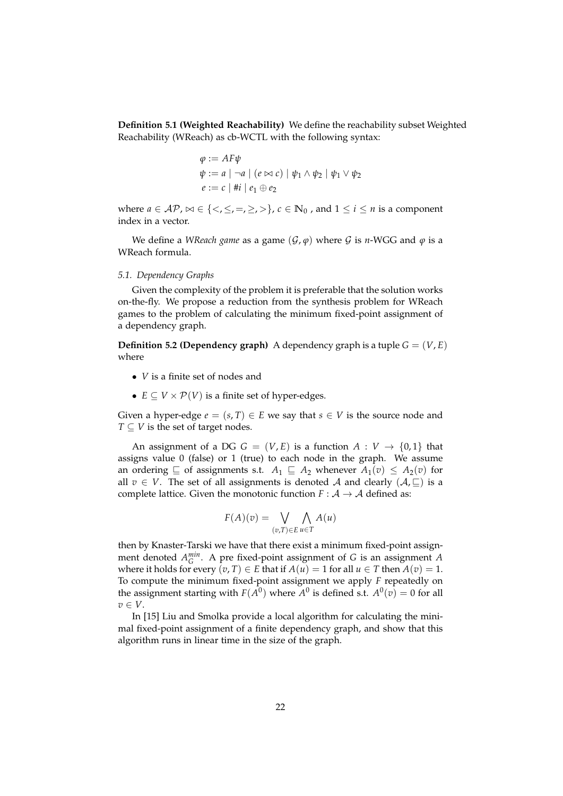**Definition 5.1 (Weighted Reachability)** We define the reachability subset Weighted Reachability (WReach) as cb-WCTL with the following syntax:

$$
\varphi := AF\psi
$$
  

$$
\psi := a \mid \neg a \mid (e \bowtie c) \mid \psi_1 \wedge \psi_2 \mid \psi_1 \vee \psi_2
$$
  

$$
e := c \mid \#i \mid e_1 \oplus e_2
$$

where  $a \in AP$ ,  $\bowtie \in \{<,\leq,-\geq,\geq\}$ ,  $c \in \mathbb{N}_0$ , and  $1 \leq i \leq n$  is a component index in a vector.

We define a *WReach game* as a game  $(G, \varphi)$  where G is *n*-WGG and  $\varphi$  is a WReach formula.

#### *5.1. Dependency Graphs*

Given the complexity of the problem it is preferable that the solution works on-the-fly. We propose a reduction from the synthesis problem for WReach games to the problem of calculating the minimum fixed-point assignment of a dependency graph.

**Definition 5.2 (Dependency graph)** A dependency graph is a tuple  $G = (V, E)$ where

- *V* is a finite set of nodes and
- $E \subseteq V \times \mathcal{P}(V)$  is a finite set of hyper-edges.

Given a hyper-edge  $e = (s, T) \in E$  we say that  $s \in V$  is the source node and *T*  $\subseteq$  *V* is the set of target nodes.

An assignment of a DG  $G = (V, E)$  is a function  $A : V \rightarrow \{0, 1\}$  that assigns value 0 (false) or 1 (true) to each node in the graph. We assume an ordering  $\subseteq$  of assignments s.t.  $A_1 \subseteq A_2$  whenever  $A_1(v) \leq A_2(v)$  for all  $v \in V$ . The set of all assignments is denoted A and clearly  $(A, \square)$  is a complete lattice. Given the monotonic function  $F : A \rightarrow A$  defined as:

$$
F(A)(v) = \bigvee_{(v,T)\in E} \bigwedge_{u\in T} A(u)
$$

then by Knaster-Tarski we have that there exist a minimum fixed-point assignment denoted  $A_G^{min}$ . A pre fixed-point assignment of *G* is an assignment *A* where it holds for every  $(v, T) \in E$  that if  $A(u) = 1$  for all  $u \in T$  then  $A(v) = 1$ . To compute the minimum fixed-point assignment we apply *F* repeatedly on the assignment starting with  $F(A^0)$  where  $A^0$  is defined s.t.  $A^0(v) = 0$  for all *v* ∈ *V*.

In [15] Liu and Smolka provide a local algorithm for calculating the minimal fixed-point assignment of a finite dependency graph, and show that this algorithm runs in linear time in the size of the graph.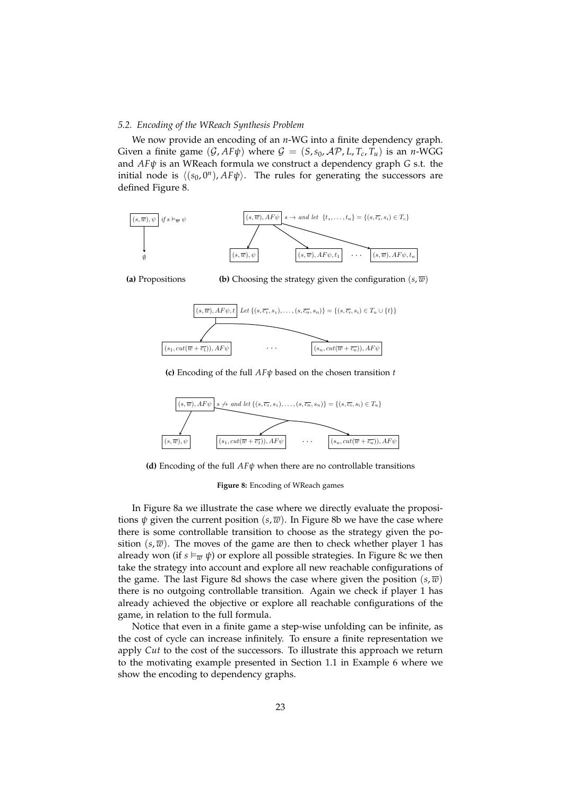#### *5.2. Encoding of the WReach Synthesis Problem*

We now provide an encoding of an *n*-WG into a finite dependency graph. Given a finite game  $(G, AF\psi)$  where  $G = (S, s_0, AP, L, T_c, T_u)$  is an *n*-WGG and *AFψ* is an WReach formula we construct a dependency graph *G* s.t. the initial node is  $\langle (s_0, 0^n), AF\psi \rangle$ . The rules for generating the successors are defined Figure 8.



**(a)** Propositions **(b)** Choosing the strategy given the configuration  $(s, \overline{w})$ 



**(c)** Encoding of the full *AFψ* based on the chosen transition *t*



**(d)** Encoding of the full *AFψ* when there are no controllable transitions

**Figure 8:** Encoding of WReach games

In Figure 8a we illustrate the case where we directly evaluate the propositions  $\psi$  given the current position  $(s, \overline{w})$ . In Figure 8b we have the case where there is some controllable transition to choose as the strategy given the position  $(s, \overline{w})$ . The moves of the game are then to check whether player 1 has already won (if  $s \vDash_{\overline{w}} \psi$ ) or explore all possible strategies. In Figure 8c we then take the strategy into account and explore all new reachable configurations of the game. The last Figure 8d shows the case where given the position  $(s, \overline{w})$ there is no outgoing controllable transition. Again we check if player 1 has already achieved the objective or explore all reachable configurations of the game, in relation to the full formula.

Notice that even in a finite game a step-wise unfolding can be infinite, as the cost of cycle can increase infinitely. To ensure a finite representation we apply *Cut* to the cost of the successors. To illustrate this approach we return to the motivating example presented in Section 1.1 in Example 6 where we show the encoding to dependency graphs.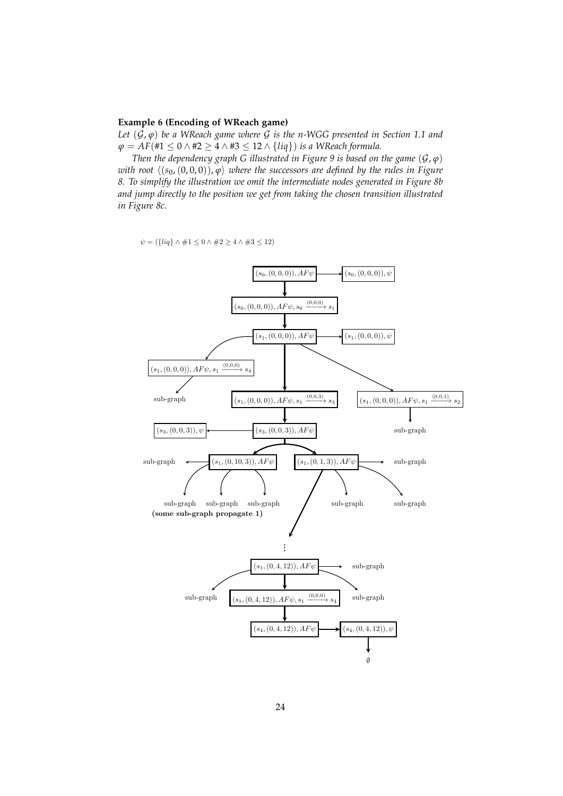# **Example 6 (Encoding of WReach game)**

*Let* (G, *ϕ*) *be a WReach game where* G *is the n-WGG presented in Section 1.1 and*  $\varphi = AF$ (#1 ≤ 0 ∧ #2 ≥ 4 ∧ #3 ≤ 12 ∧ {*liq*}) *is a WReach formula.* 

*Then the dependency graph G illustrated in Figure 9 is based on the game*  $(G, \varphi)$ *with root*  $\langle (s_0, (0, 0, 0)), \varphi \rangle$  *where the successors are defined by the rules in Figure 8. To simplify the illustration we omit the intermediate nodes generated in Figure 8b and jump directly to the position we get from taking the chosen transition illustrated in Figure 8c.*

 $\psi = (\{liq\} \land \#1 \leq 0 \land \#2 \geq 4 \land \#3 \leq 12)$ 

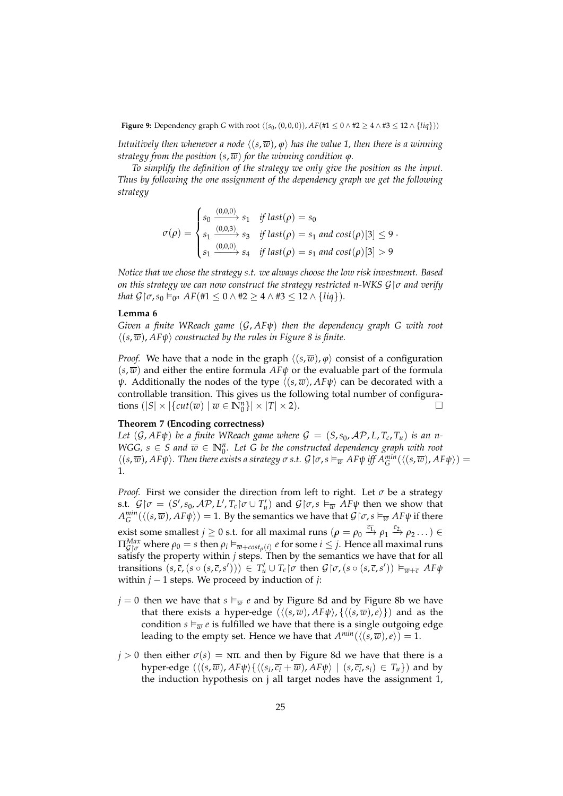**Figure 9:** Dependency graph *G* with root  $\langle (s_0,(0,0,0)), AF(\#1 \le 0 \land \#2 \ge 4 \land \#3 \le 12 \land \{liq\})\rangle$ 

*Intuitively then whenever a node*  $\langle (s, \overline{w}) \rangle$ ,  $\varphi \rangle$  *has the value 1, then there is a winning strategy from the position*  $(s, \overline{w})$  *for the winning condition*  $\varphi$ *.* 

*To simplify the definition of the strategy we only give the position as the input. Thus by following the one assignment of the dependency graph we get the following strategy*

$$
\sigma(\rho) = \begin{cases}\ns_0 \xrightarrow{(0,0,0)} s_1 & \text{if last}(\rho) = s_0 \\
s_1 \xrightarrow{(0,0,3)} s_3 & \text{if last}(\rho) = s_1 \text{ and } \text{cost}(\rho)[3] \leq 9 \\
s_1 \xrightarrow{(0,0,0)} s_4 & \text{if last}(\rho) = s_1 \text{ and } \text{cost}(\rho)[3] > 9\n\end{cases}
$$

*Notice that we chose the strategy s.t. we always choose the low risk investment. Based on this strategy we can now construct the strategy restricted n-WKS* G*σ and verify that*  $G[\sigma, s_0 \vDash_{0^n} AF(\#1 \le 0 \land \#2 \ge 4 \land \#3 \le 12 \land \{liq\}).$ 

# **Lemma 6**

*Given a finite WReach game* (G, *AFψ*) *then the dependency graph G with root*  $\langle (s, \overline{w}), AF\psi \rangle$  constructed by the rules in Figure 8 is finite.

*Proof.* We have that a node in the graph  $\langle (s, \overline{w}), \varphi \rangle$  consist of a configuration  $(s, \overline{w})$  and either the entire formula  $AF\psi$  or the evaluable part of the formula *ψ*. Additionally the nodes of the type  $\langle (s, \overline{w})$ , *AFψ* $\rangle$  can be decorated with a controllable transition. This gives us the following total number of configurations  $(|S| \times |\{cut(\overline{w}) \mid \overline{w} \in \mathbb{N}_0^n\}| \times |T| \times 2)$ .

#### **Theorem 7 (Encoding correctness)**

*Let*  $(G, AF\psi)$  *be a finite WReach game where*  $G = (S, s_0, AP, L, T_c, T_u)$  *is an n-WGG, s* ∈ *S* and  $\overline{w}$  ∈  $\mathbb{N}_0^n$ . Let G be the constructed dependency graph with root  $\langle (s, \overline{w}), AF\psi \rangle$ . Then there exists a strategy  $\sigma$  *s.t.*  $\mathcal{G}[\sigma, s \vDash_{\overline{w}} AF\psi$  iff  $A_G^{min}(\langle (s, \overline{w}), AF\psi \rangle)$  = 1*.*

*Proof.* First we consider the direction from left to right. Let  $\sigma$  be a strategy s.t.  $\mathcal{G}[\sigma = (S', s_0, \mathcal{AP}, L', T_c[\sigma \cup T_u'])$  and  $\mathcal{G}[\sigma, s \vDash_{\overline{w}} AF\psi$  then we show that  $A_G^{min}(\langle(s,\overline{w}),AF\psi\rangle) = 1$ . By the semantics we have that  $\mathcal{G}[\sigma,s\models_{\overline{w}} AF\psi$  if there exist some smallest  $j \ge 0$  s.t. for all maximal runs  $(\rho = \rho_0 \stackrel{\overline{c_1}}{\longrightarrow} \rho_1 \stackrel{\overline{c_2}}{\longrightarrow} \rho_2 \dots) \in$  $\Pi_{\mathcal{G}|\sigma}^{Max}$  where  $\rho_0 = s$  then  $\rho_i \vDash_{\overline{w} + cost_\rho(i)} e$  for some  $i \leq j$ . Hence all maximal runs satisfy the property within *j* steps. Then by the semantics we have that for all  $transitions (s, \overline{c}, (s \circ (s, \overline{c}, s'))) \in T_u' \cup T_c \, \sigma then \, \mathcal{G} \, \sigma, (s \circ (s, \overline{c}, s')) \models_{\overline{w} + \overline{c}} AF\psi$ within *j* − 1 steps. We proceed by induction of *j*:

- *j* = 0 then we have that *s*  $\models_{\overline{w}} e$  and by Figure 8d and by Figure 8b we have that there exists a hyper-edge  $({\langle(s,\overline{w}),AF\psi \rangle},{\langle(s,\overline{w}),e \rangle})$  and as the condition  $s \vDash_{\overline{w}} e$  is fulfilled we have that there is a single outgoing edge leading to the empty set. Hence we have that  $A^{min}(\langle (s, \overline{w}), e \rangle) = 1$ .
- $j > 0$  then either  $\sigma(s) = \text{NIL}$  and then by Figure 8d we have that there is a hyper-edge  $(\langle (s, \overline{w}), AF\psi \rangle \{ \langle (s_i, \overline{c_i} + \overline{w}), AF\psi \rangle \mid (s, \overline{c_i}, s_i) \in T_u \})$  and by the induction hypothesis on j all target nodes have the assignment 1,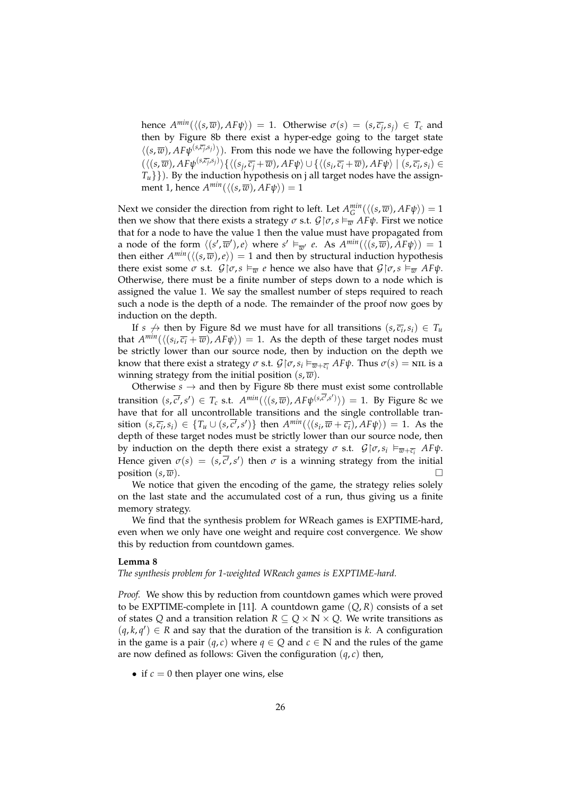hence  $A^{min}(\langle (s, \overline{w}), AF\psi \rangle) = 1$ . Otherwise  $\sigma(s) = (s, \overline{c_j}, s_j) \in T_c$  and then by Figure 8b there exist a hyper-edge going to the target state  $\langle (s, \overline{w}), AF\psi^{(s, \overline{c_j}, s_j)} \rangle$ . From this node we have the following hyper-edge  $(\langle (s,\overline{w}),AF\psi^{(s,\overline{c_j},s_j)}\rangle\{\langle (s_j,\overline{c_j}+\overline{w}),AF\psi\rangle\cup\{\langle (s_i,\overline{c_i}+\overline{w}),AF\psi\rangle\mid (s,\overline{c_i},s_i)\in$  $T_u$ }). By the induction hypothesis on *j* all target nodes have the assignment 1, hence  $A^{min}(\langle (s, \overline{w}), AF\psi \rangle) = 1$ 

Next we consider the direction from right to left. Let  $A_G^{min}(\langle (s, \overline{w}), AF\psi \rangle) = 1$ then we show that there exists a strategy  $\sigma$  s.t.  $\mathcal{G}[\sigma, s \vDash_{\overline{w}} AF\psi]$ . First we notice that for a node to have the value 1 then the value must have propagated from a node of the form  $\langle (s', \overline{w}'), e \rangle$  where  $s' \vDash_{\overline{w'}} e$ . As  $A^{min}(\langle (s, \overline{w}), AF\psi \rangle) = 1$ then either  $A^{min}(\langle (s, \overline{w}), e \rangle) = 1$  and then by structural induction hypothesis there exist some  $\sigma$  s.t.  $\mathcal{G}[\sigma, s \vDash_{\overline{w}} e$  hence we also have that  $\mathcal{G}[\sigma, s \vDash_{\overline{w}} AF\psi$ . Otherwise, there must be a finite number of steps down to a node which is assigned the value 1. We say the smallest number of steps required to reach such a node is the depth of a node. The remainder of the proof now goes by induction on the depth.

If  $s \nightharpoonup$  then by Figure 8d we must have for all transitions  $(s, \overline{c_i}, s_i) \in T_u$ that  $A^{min}(\langle(s_i, \overline{c_i} + \overline{w}), AF\psi \rangle) = 1$ . As the depth of these target nodes must be strictly lower than our source node, then by induction on the depth we know that there exist a strategy *σ* s.t.  $\mathcal{G}[\sigma, s_i \vDash_{\overline{w}+\overline{c_i}} AFψ$ . Thus  $\sigma(s) = \text{NIL}$  is a winning strategy from the initial position  $(s, \overline{w})$ .

Otherwise  $s \rightarrow$  and then by Figure 8b there must exist some controllable transition  $(s, \overline{c'}, s') \in T_c$  s.t.  $A^{min}(\langle (s, \overline{w}), AF\psi^{(s,c',s')}\rangle) = 1$ . By Figure 8c we have that for all uncontrollable transitions and the single controllable transition  $(s, \overline{c_i}, s_i) \in \{T_u \cup (s, \overline{c'}, s')\}$  then  $A^{min}(\langle (s_i, \overline{w} + \overline{c_i}), A F \psi \rangle) = 1$ . As the depth of these target nodes must be strictly lower than our source node, then by induction on the depth there exist a strategy  $\sigma$  s.t.  $\mathcal{G}\upharpoonright \sigma, s_i \vDash_{\overline{w}+\overline{c_i}} AF\psi$ . Hence given  $\sigma(s) = (s, c', s')$  then  $\sigma$  is a winning strategy from the initial position  $(s, \overline{w})$ .

We notice that given the encoding of the game, the strategy relies solely on the last state and the accumulated cost of a run, thus giving us a finite memory strategy.

We find that the synthesis problem for WReach games is EXPTIME-hard, even when we only have one weight and require cost convergence. We show this by reduction from countdown games.

### **Lemma 8**

*The synthesis problem for 1-weighted WReach games is EXPTIME-hard.*

*Proof.* We show this by reduction from countdown games which were proved to be EXPTIME-complete in [11]. A countdown game  $(Q, R)$  consists of a set of states *Q* and a transition relation  $R \subseteq Q \times N \times Q$ . We write transitions as  $(q, k, q')$  ∈ *R* and say that the duration of the transition is *k*. A configuration in the game is a pair  $(q, c)$  where  $q \in Q$  and  $c \in \mathbb{N}$  and the rules of the game are now defined as follows: Given the configuration  $(q, c)$  then,

• if  $c = 0$  then player one wins, else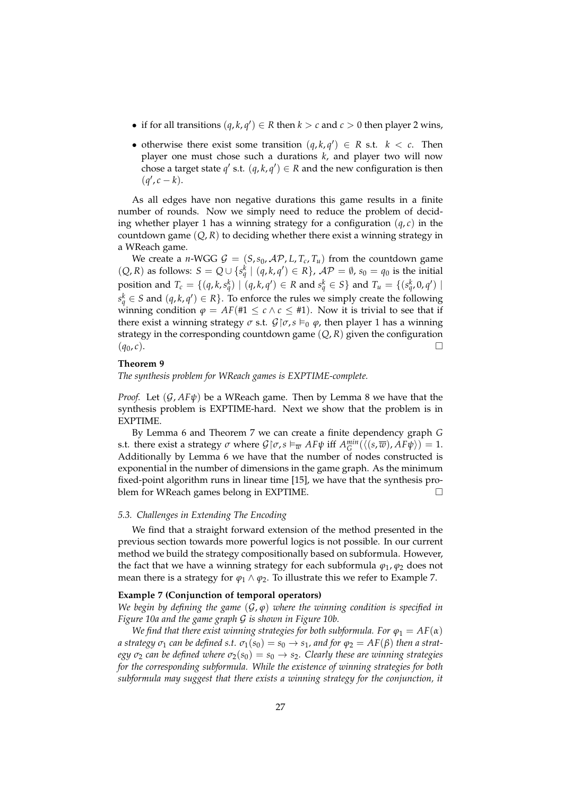- if for all transitions  $(q, k, q') \in R$  then  $k > c$  and  $c > 0$  then player 2 wins,
- otherwise there exist some transition  $(q, k, q') \in R$  s.t.  $k < c$ . Then player one must chose such a durations *k*, and player two will now chose a target state *q*<sup> $\prime$ </sup> s.t.  $(q, k, q') \in R$  and the new configuration is then  $(q', c - k).$

As all edges have non negative durations this game results in a finite number of rounds. Now we simply need to reduce the problem of deciding whether player 1 has a winning strategy for a configuration  $(q, c)$  in the countdown game  $(Q, R)$  to deciding whether there exist a winning strategy in a WReach game.

We create a *n*-WGG  $G = (S, s_0, AP, L, T_c, T_u)$  from the countdown game (*Q*, *R*) as follows: *S* = *Q* ∪ { $s_q^k$  | (*q*, *k*, *q*<sup> $′$ </sup>) ∈ *R*}, *AP* = *Ø*, *s*<sub>0</sub> = *q*<sub>0</sub> is the initial position and  $T_c = \{(q, k, s_q^k) \mid (q, k, q') \in R \text{ and } s_q^k \in S\}$  and  $T_u = \{(s_q^k, 0, q') \mid$ *s*<sup>*k*</sup><sub>*q*</sub> ∈ *S* and (*q*, *k*, *q*<sup>'</sup>) ∈ *R*}. To enforce the rules we simply create the following winning condition  $\varphi = AF(\#1 \leq c \land c \leq \#1)$ . Now it is trivial to see that if there exist a winning strategy  $\sigma$  s.t.  $\mathcal{G}[\sigma, s \vDash_0 \varphi, \sigma]$  then player 1 has a winning strategy in the corresponding countdown game (*Q*, *R*) given the configuration  $(q_0, c)$ .

#### **Theorem 9**

*The synthesis problem for WReach games is EXPTIME-complete.*

*Proof.* Let (G, *AFψ*) be a WReach game. Then by Lemma 8 we have that the synthesis problem is EXPTIME-hard. Next we show that the problem is in EXPTIME.

By Lemma 6 and Theorem 7 we can create a finite dependency graph *G* s.t. there exist a strategy  $\sigma$  where  $\mathcal{G}[\sigma, s \vDash_{\overline{w}} AF\psi \text{ iff } A_G^{min}(\langle (s, \overline{w}), AF\psi \rangle) = 1.$ Additionally by Lemma 6 we have that the number of nodes constructed is exponential in the number of dimensions in the game graph. As the minimum fixed-point algorithm runs in linear time [15], we have that the synthesis problem for WReach games belong in EXPTIME.

# *5.3. Challenges in Extending The Encoding*

We find that a straight forward extension of the method presented in the previous section towards more powerful logics is not possible. In our current method we build the strategy compositionally based on subformula. However, the fact that we have a winning strategy for each subformula  $\varphi_1$ ,  $\varphi_2$  does not mean there is a strategy for  $\varphi_1 \wedge \varphi_2$ . To illustrate this we refer to Example 7.

# **Example 7 (Conjunction of temporal operators)**

*We begin by defining the game* (G, *ϕ*) *where the winning condition is specified in Figure 10a and the game graph* G *is shown in Figure 10b.*

*We find that there exist winning strategies for both subformula. For*  $\varphi_1 = AF(\alpha)$ *a strategy*  $\sigma_1$  *can be defined s.t.*  $\sigma_1(s_0) = s_0 \rightarrow s_1$ *, and for*  $\varphi_2 = AF(\beta)$  *then a strategy*  $\sigma_2$  *can be defined where*  $\sigma_2(s_0) = s_0 \rightarrow s_2$ . Clearly these are winning strategies *for the corresponding subformula. While the existence of winning strategies for both subformula may suggest that there exists a winning strategy for the conjunction, it*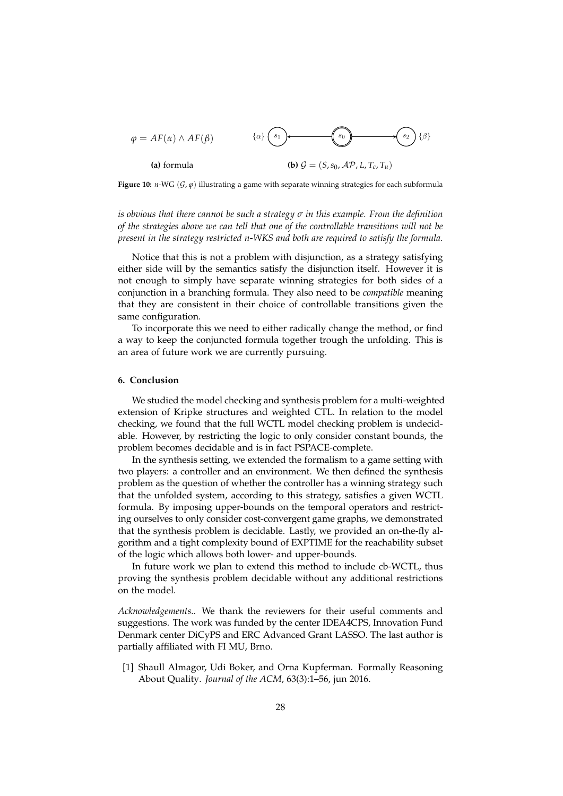

**Figure 10:** *n*-WG ( $\mathcal{G}, \varphi$ ) illustrating a game with separate winning strategies for each subformula

*is obvious that there cannot be such a strategy σ in this example. From the definition of the strategies above we can tell that one of the controllable transitions will not be present in the strategy restricted n-WKS and both are required to satisfy the formula.*

Notice that this is not a problem with disjunction, as a strategy satisfying either side will by the semantics satisfy the disjunction itself. However it is not enough to simply have separate winning strategies for both sides of a conjunction in a branching formula. They also need to be *compatible* meaning that they are consistent in their choice of controllable transitions given the same configuration.

To incorporate this we need to either radically change the method, or find a way to keep the conjuncted formula together trough the unfolding. This is an area of future work we are currently pursuing.

# **6. Conclusion**

We studied the model checking and synthesis problem for a multi-weighted extension of Kripke structures and weighted CTL. In relation to the model checking, we found that the full WCTL model checking problem is undecidable. However, by restricting the logic to only consider constant bounds, the problem becomes decidable and is in fact PSPACE-complete.

In the synthesis setting, we extended the formalism to a game setting with two players: a controller and an environment. We then defined the synthesis problem as the question of whether the controller has a winning strategy such that the unfolded system, according to this strategy, satisfies a given WCTL formula. By imposing upper-bounds on the temporal operators and restricting ourselves to only consider cost-convergent game graphs, we demonstrated that the synthesis problem is decidable. Lastly, we provided an on-the-fly algorithm and a tight complexity bound of EXPTIME for the reachability subset of the logic which allows both lower- and upper-bounds.

In future work we plan to extend this method to include cb-WCTL, thus proving the synthesis problem decidable without any additional restrictions on the model.

*Acknowledgements..* We thank the reviewers for their useful comments and suggestions. The work was funded by the center IDEA4CPS, Innovation Fund Denmark center DiCyPS and ERC Advanced Grant LASSO. The last author is partially affiliated with FI MU, Brno.

[1] Shaull Almagor, Udi Boker, and Orna Kupferman. Formally Reasoning About Quality. *Journal of the ACM*, 63(3):1–56, jun 2016.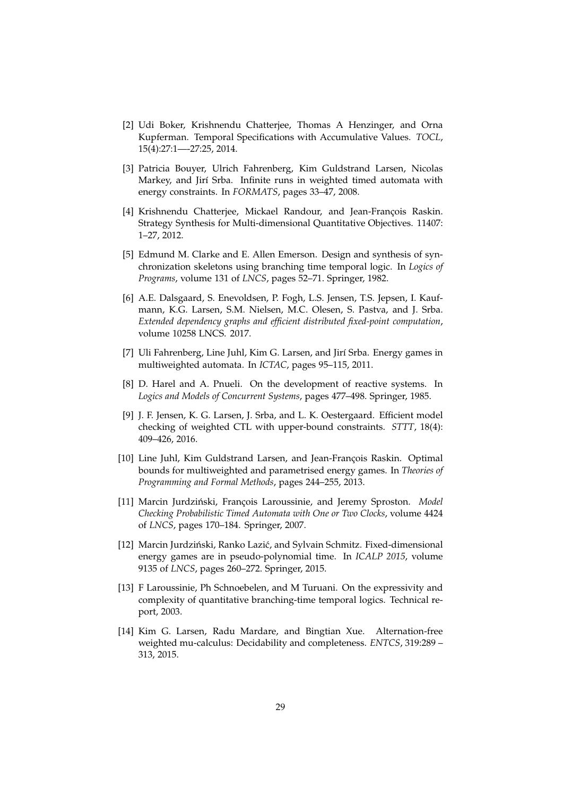- [2] Udi Boker, Krishnendu Chatterjee, Thomas A Henzinger, and Orna Kupferman. Temporal Specifications with Accumulative Values. *TOCL*, 15(4):27:1—-27:25, 2014.
- [3] Patricia Bouyer, Ulrich Fahrenberg, Kim Guldstrand Larsen, Nicolas Markey, and Jirí Srba. Infinite runs in weighted timed automata with energy constraints. In *FORMATS*, pages 33–47, 2008.
- [4] Krishnendu Chatterjee, Mickael Randour, and Jean-François Raskin. Strategy Synthesis for Multi-dimensional Quantitative Objectives. 11407: 1–27, 2012.
- [5] Edmund M. Clarke and E. Allen Emerson. Design and synthesis of synchronization skeletons using branching time temporal logic. In *Logics of Programs*, volume 131 of *LNCS*, pages 52–71. Springer, 1982.
- [6] A.E. Dalsgaard, S. Enevoldsen, P. Fogh, L.S. Jensen, T.S. Jepsen, I. Kaufmann, K.G. Larsen, S.M. Nielsen, M.C. Olesen, S. Pastva, and J. Srba. *Extended dependency graphs and efficient distributed fixed-point computation*, volume 10258 LNCS. 2017.
- [7] Uli Fahrenberg, Line Juhl, Kim G. Larsen, and Jirí Srba. Energy games in multiweighted automata. In *ICTAC*, pages 95–115, 2011.
- [8] D. Harel and A. Pnueli. On the development of reactive systems. In *Logics and Models of Concurrent Systems*, pages 477–498. Springer, 1985.
- [9] J. F. Jensen, K. G. Larsen, J. Srba, and L. K. Oestergaard. Efficient model checking of weighted CTL with upper-bound constraints. *STTT*, 18(4): 409–426, 2016.
- [10] Line Juhl, Kim Guldstrand Larsen, and Jean-François Raskin. Optimal bounds for multiweighted and parametrised energy games. In *Theories of Programming and Formal Methods*, pages 244–255, 2013.
- [11] Marcin Jurdziński, François Laroussinie, and Jeremy Sproston. *Model Checking Probabilistic Timed Automata with One or Two Clocks*, volume 4424 of *LNCS*, pages 170–184. Springer, 2007.
- [12] Marcin Jurdziński, Ranko Lazić, and Sylvain Schmitz. Fixed-dimensional energy games are in pseudo-polynomial time. In *ICALP 2015*, volume 9135 of *LNCS*, pages 260–272. Springer, 2015.
- [13] F Laroussinie, Ph Schnoebelen, and M Turuani. On the expressivity and complexity of quantitative branching-time temporal logics. Technical report, 2003.
- [14] Kim G. Larsen, Radu Mardare, and Bingtian Xue. Alternation-free weighted mu-calculus: Decidability and completeness. *ENTCS*, 319:289 – 313, 2015.